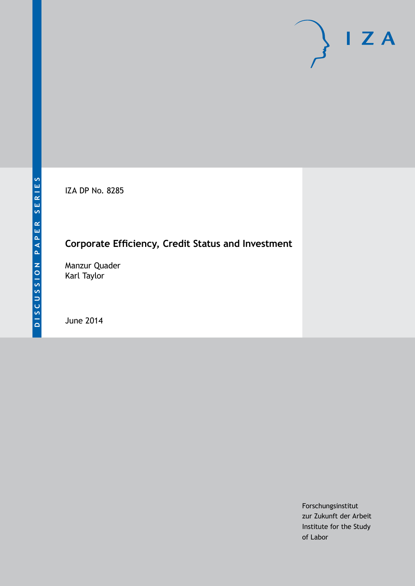IZA DP No. 8285

# **Corporate Efficiency, Credit Status and Investment**

Manzur Quader Karl Taylor

June 2014

Forschungsinstitut zur Zukunft der Arbeit Institute for the Study of Labor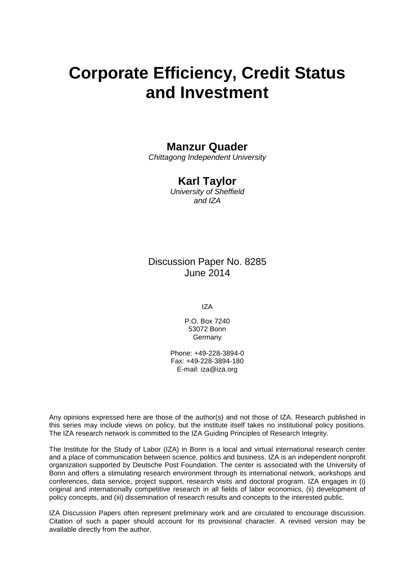# **Corporate Efficiency, Credit Status and Investment**

### **Manzur Quader**

*Chittagong Independent University*

### **Karl Taylor**

*University of Sheffield and IZA*

### Discussion Paper No. 8285 June 2014

IZA

P.O. Box 7240 53072 Bonn Germany

Phone: +49-228-3894-0 Fax: +49-228-3894-180 E-mail: [iza@iza.org](mailto:iza@iza.org)

Any opinions expressed here are those of the author(s) and not those of IZA. Research published in this series may include views on policy, but the institute itself takes no institutional policy positions. The IZA research network is committed to the IZA Guiding Principles of Research Integrity.

The Institute for the Study of Labor (IZA) in Bonn is a local and virtual international research center and a place of communication between science, politics and business. IZA is an independent nonprofit organization supported by Deutsche Post Foundation. The center is associated with the University of Bonn and offers a stimulating research environment through its international network, workshops and conferences, data service, project support, research visits and doctoral program. IZA engages in (i) original and internationally competitive research in all fields of labor economics, (ii) development of policy concepts, and (iii) dissemination of research results and concepts to the interested public.

IZA Discussion Papers often represent preliminary work and are circulated to encourage discussion. Citation of such a paper should account for its provisional character. A revised version may be available directly from the author.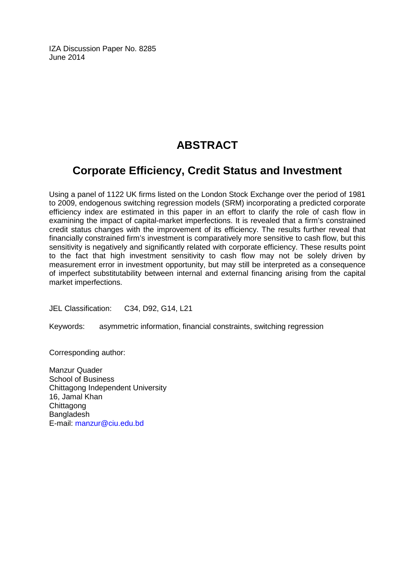IZA Discussion Paper No. 8285 June 2014

# **ABSTRACT**

## **Corporate Efficiency, Credit Status and Investment**

Using a panel of 1122 UK firms listed on the London Stock Exchange over the period of 1981 to 2009, endogenous switching regression models (SRM) incorporating a predicted corporate efficiency index are estimated in this paper in an effort to clarify the role of cash flow in examining the impact of capital-market imperfections. It is revealed that a firm's constrained credit status changes with the improvement of its efficiency. The results further reveal that financially constrained firm's investment is comparatively more sensitive to cash flow, but this sensitivity is negatively and significantly related with corporate efficiency. These results point to the fact that high investment sensitivity to cash flow may not be solely driven by measurement error in investment opportunity, but may still be interpreted as a consequence of imperfect substitutability between internal and external financing arising from the capital market imperfections.

JEL Classification: C34, D92, G14, L21

Keywords: asymmetric information, financial constraints, switching regression

Corresponding author:

Manzur Quader School of Business Chittagong Independent University 16, Jamal Khan **Chittagong Bangladesh** E-mail: [manzur@ciu.edu.bd](mailto:manzur@ciu.edu.bd)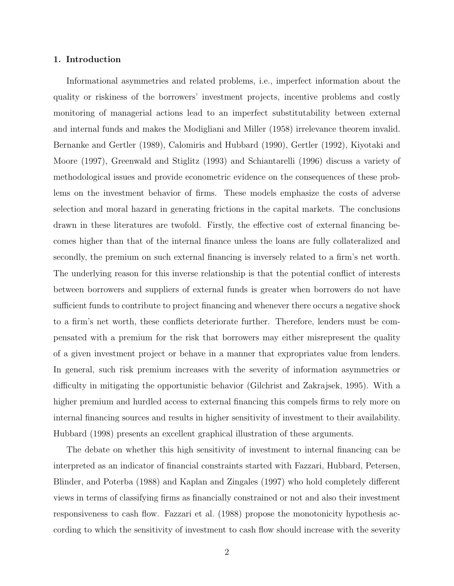#### 1. Introduction

Informational asymmetries and related problems, i.e., imperfect information about the quality or riskiness of the borrowers' investment projects, incentive problems and costly monitoring of managerial actions lead to an imperfect substitutability between external and internal funds and makes the Modigliani and Miller (1958) irrelevance theorem invalid. Bernanke and Gertler (1989), Calomiris and Hubbard (1990), Gertler (1992), Kiyotaki and Moore (1997), Greenwald and Stiglitz (1993) and Schiantarelli (1996) discuss a variety of methodological issues and provide econometric evidence on the consequences of these problems on the investment behavior of firms. These models emphasize the costs of adverse selection and moral hazard in generating frictions in the capital markets. The conclusions drawn in these literatures are twofold. Firstly, the effective cost of external financing becomes higher than that of the internal finance unless the loans are fully collateralized and secondly, the premium on such external financing is inversely related to a firm's net worth. The underlying reason for this inverse relationship is that the potential conflict of interests between borrowers and suppliers of external funds is greater when borrowers do not have sufficient funds to contribute to project financing and whenever there occurs a negative shock to a firm's net worth, these conflicts deteriorate further. Therefore, lenders must be compensated with a premium for the risk that borrowers may either misrepresent the quality of a given investment project or behave in a manner that expropriates value from lenders. In general, such risk premium increases with the severity of information asymmetries or difficulty in mitigating the opportunistic behavior (Gilchrist and Zakrajsek, 1995). With a higher premium and hurdled access to external financing this compels firms to rely more on internal financing sources and results in higher sensitivity of investment to their availability. Hubbard (1998) presents an excellent graphical illustration of these arguments.

The debate on whether this high sensitivity of investment to internal financing can be interpreted as an indicator of financial constraints started with Fazzari, Hubbard, Petersen, Blinder, and Poterba (1988) and Kaplan and Zingales (1997) who hold completely different views in terms of classifying firms as financially constrained or not and also their investment responsiveness to cash flow. Fazzari et al. (1988) propose the monotonicity hypothesis according to which the sensitivity of investment to cash flow should increase with the severity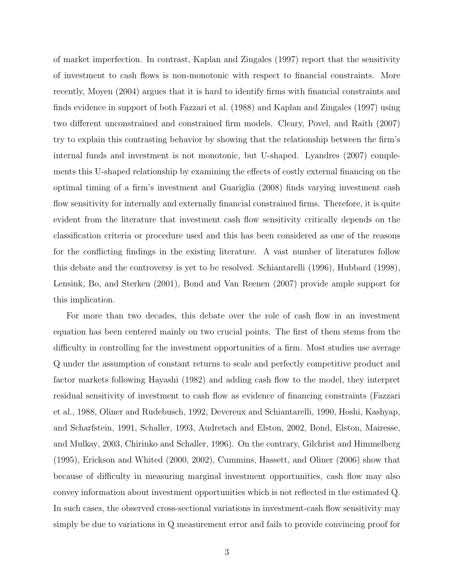of market imperfection. In contrast, Kaplan and Zingales (1997) report that the sensitivity of investment to cash flows is non-monotonic with respect to financial constraints. More recently, Moyen (2004) argues that it is hard to identify firms with financial constraints and finds evidence in support of both Fazzari et al. (1988) and Kaplan and Zingales (1997) using two different unconstrained and constrained firm models. Cleary, Povel, and Raith (2007) try to explain this contrasting behavior by showing that the relationship between the firm's internal funds and investment is not monotonic, but U-shaped. Lyandres (2007) complements this U-shaped relationship by examining the effects of costly external financing on the optimal timing of a firm's investment and Guariglia (2008) finds varying investment cash flow sensitivity for internally and externally financial constrained firms. Therefore, it is quite evident from the literature that investment cash flow sensitivity critically depends on the classification criteria or procedure used and this has been considered as one of the reasons for the conflicting findings in the existing literature. A vast number of literatures follow this debate and the controversy is yet to be resolved. Schiantarelli (1996), Hubbard (1998), Lensink, Bo, and Sterken (2001), Bond and Van Reenen (2007) provide ample support for this implication.

For more than two decades, this debate over the role of cash flow in an investment equation has been centered mainly on two crucial points. The first of them stems from the difficulty in controlling for the investment opportunities of a firm. Most studies use average Q under the assumption of constant returns to scale and perfectly competitive product and factor markets following Hayashi (1982) and adding cash flow to the model, they interpret residual sensitivity of investment to cash flow as evidence of financing constraints (Fazzari et al., 1988, Oliner and Rudebusch, 1992, Devereux and Schiantarelli, 1990, Hoshi, Kashyap, and Scharfstein, 1991, Schaller, 1993, Audretsch and Elston, 2002, Bond, Elston, Mairesse, and Mulkay, 2003, Chirinko and Schaller, 1996). On the contrary, Gilchrist and Himmelberg (1995), Erickson and Whited (2000, 2002), Cummins, Hassett, and Oliner (2006) show that because of difficulty in measuring marginal investment opportunities, cash flow may also convey information about investment opportunities which is not reflected in the estimated Q. In such cases, the observed cross-sectional variations in investment-cash flow sensitivity may simply be due to variations in Q measurement error and fails to provide convincing proof for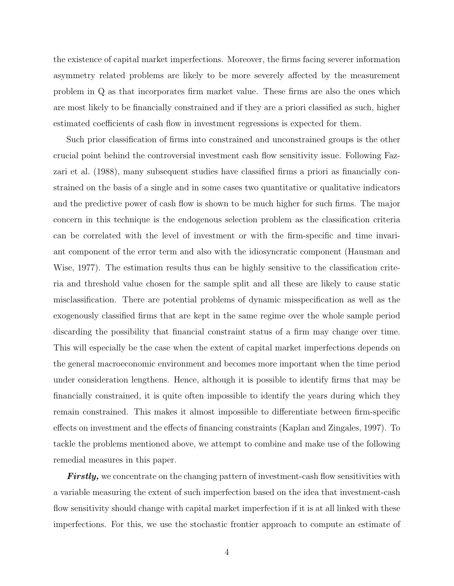the existence of capital market imperfections. Moreover, the firms facing severer information asymmetry related problems are likely to be more severely affected by the measurement problem in Q as that incorporates firm market value. These firms are also the ones which are most likely to be financially constrained and if they are a priori classified as such, higher estimated coefficients of cash flow in investment regressions is expected for them.

Such prior classification of firms into constrained and unconstrained groups is the other crucial point behind the controversial investment cash flow sensitivity issue. Following Fazzari et al. (1988), many subsequent studies have classified firms a priori as financially constrained on the basis of a single and in some cases two quantitative or qualitative indicators and the predictive power of cash flow is shown to be much higher for such firms. The major concern in this technique is the endogenous selection problem as the classification criteria can be correlated with the level of investment or with the firm-specific and time invariant component of the error term and also with the idiosyncratic component (Hausman and Wise, 1977). The estimation results thus can be highly sensitive to the classification criteria and threshold value chosen for the sample split and all these are likely to cause static misclassification. There are potential problems of dynamic misspecification as well as the exogenously classified firms that are kept in the same regime over the whole sample period discarding the possibility that financial constraint status of a firm may change over time. This will especially be the case when the extent of capital market imperfections depends on the general macroeconomic environment and becomes more important when the time period under consideration lengthens. Hence, although it is possible to identify firms that may be financially constrained, it is quite often impossible to identify the years during which they remain constrained. This makes it almost impossible to differentiate between firm-specific effects on investment and the effects of financing constraints (Kaplan and Zingales, 1997). To tackle the problems mentioned above, we attempt to combine and make use of the following remedial measures in this paper.

**Firstly,** we concentrate on the changing pattern of investment-cash flow sensitivities with a variable measuring the extent of such imperfection based on the idea that investment-cash flow sensitivity should change with capital market imperfection if it is at all linked with these imperfections. For this, we use the stochastic frontier approach to compute an estimate of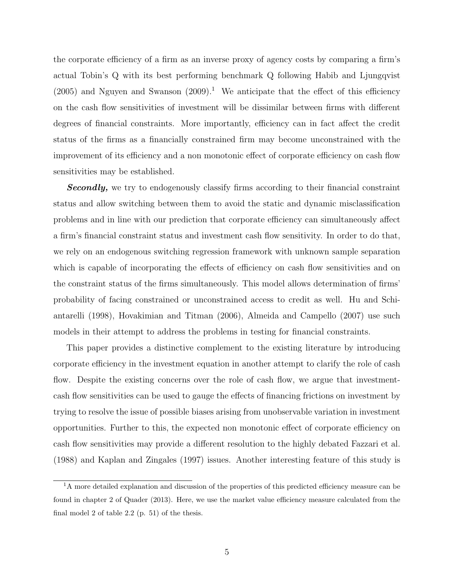the corporate efficiency of a firm as an inverse proxy of agency costs by comparing a firm's actual Tobin's Q with its best performing benchmark Q following Habib and Ljungqvist  $(2005)$  and Nguyen and Swanson  $(2009)^{1}$ . We anticipate that the effect of this efficiency on the cash flow sensitivities of investment will be dissimilar between firms with different degrees of financial constraints. More importantly, efficiency can in fact affect the credit status of the firms as a financially constrained firm may become unconstrained with the improvement of its efficiency and a non monotonic effect of corporate efficiency on cash flow sensitivities may be established.

**Secondly,** we try to endogenously classify firms according to their financial constraint status and allow switching between them to avoid the static and dynamic misclassification problems and in line with our prediction that corporate efficiency can simultaneously affect a firm's financial constraint status and investment cash flow sensitivity. In order to do that, we rely on an endogenous switching regression framework with unknown sample separation which is capable of incorporating the effects of efficiency on cash flow sensitivities and on the constraint status of the firms simultaneously. This model allows determination of firms' probability of facing constrained or unconstrained access to credit as well. Hu and Schiantarelli (1998), Hovakimian and Titman (2006), Almeida and Campello (2007) use such models in their attempt to address the problems in testing for financial constraints.

This paper provides a distinctive complement to the existing literature by introducing corporate efficiency in the investment equation in another attempt to clarify the role of cash flow. Despite the existing concerns over the role of cash flow, we argue that investmentcash flow sensitivities can be used to gauge the effects of financing frictions on investment by trying to resolve the issue of possible biases arising from unobservable variation in investment opportunities. Further to this, the expected non monotonic effect of corporate efficiency on cash flow sensitivities may provide a different resolution to the highly debated Fazzari et al. (1988) and Kaplan and Zingales (1997) issues. Another interesting feature of this study is

<sup>&</sup>lt;sup>1</sup>A more detailed explanation and discussion of the properties of this predicted efficiency measure can be found in chapter 2 of Quader (2013). Here, we use the market value efficiency measure calculated from the final model 2 of table 2.2 (p. 51) of the thesis.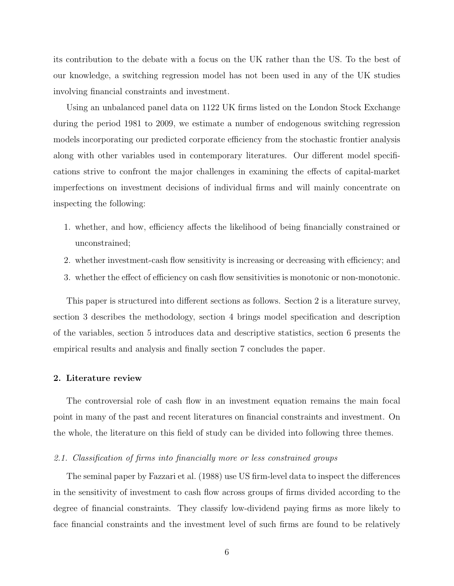its contribution to the debate with a focus on the UK rather than the US. To the best of our knowledge, a switching regression model has not been used in any of the UK studies involving financial constraints and investment.

Using an unbalanced panel data on 1122 UK firms listed on the London Stock Exchange during the period 1981 to 2009, we estimate a number of endogenous switching regression models incorporating our predicted corporate efficiency from the stochastic frontier analysis along with other variables used in contemporary literatures. Our different model specifications strive to confront the major challenges in examining the effects of capital-market imperfections on investment decisions of individual firms and will mainly concentrate on inspecting the following:

- 1. whether, and how, efficiency affects the likelihood of being financially constrained or unconstrained;
- 2. whether investment-cash flow sensitivity is increasing or decreasing with efficiency; and
- 3. whether the effect of efficiency on cash flow sensitivities is monotonic or non-monotonic.

This paper is structured into different sections as follows. Section 2 is a literature survey, section 3 describes the methodology, section 4 brings model specification and description of the variables, section 5 introduces data and descriptive statistics, section 6 presents the empirical results and analysis and finally section 7 concludes the paper.

#### 2. Literature review

The controversial role of cash flow in an investment equation remains the main focal point in many of the past and recent literatures on financial constraints and investment. On the whole, the literature on this field of study can be divided into following three themes.

#### 2.1. Classification of firms into financially more or less constrained groups

The seminal paper by Fazzari et al. (1988) use US firm-level data to inspect the differences in the sensitivity of investment to cash flow across groups of firms divided according to the degree of financial constraints. They classify low-dividend paying firms as more likely to face financial constraints and the investment level of such firms are found to be relatively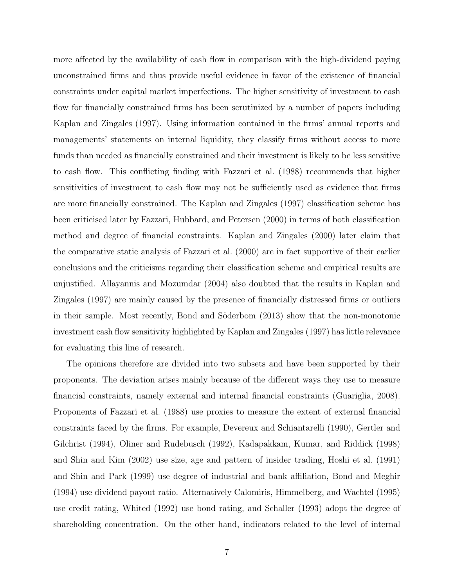more affected by the availability of cash flow in comparison with the high-dividend paying unconstrained firms and thus provide useful evidence in favor of the existence of financial constraints under capital market imperfections. The higher sensitivity of investment to cash flow for financially constrained firms has been scrutinized by a number of papers including Kaplan and Zingales (1997). Using information contained in the firms' annual reports and managements' statements on internal liquidity, they classify firms without access to more funds than needed as financially constrained and their investment is likely to be less sensitive to cash flow. This conflicting finding with Fazzari et al. (1988) recommends that higher sensitivities of investment to cash flow may not be sufficiently used as evidence that firms are more financially constrained. The Kaplan and Zingales (1997) classification scheme has been criticised later by Fazzari, Hubbard, and Petersen (2000) in terms of both classification method and degree of financial constraints. Kaplan and Zingales (2000) later claim that the comparative static analysis of Fazzari et al. (2000) are in fact supportive of their earlier conclusions and the criticisms regarding their classification scheme and empirical results are unjustified. Allayannis and Mozumdar (2004) also doubted that the results in Kaplan and Zingales (1997) are mainly caused by the presence of financially distressed firms or outliers in their sample. Most recently, Bond and Söderbom (2013) show that the non-monotonic investment cash flow sensitivity highlighted by Kaplan and Zingales (1997) has little relevance for evaluating this line of research.

The opinions therefore are divided into two subsets and have been supported by their proponents. The deviation arises mainly because of the different ways they use to measure financial constraints, namely external and internal financial constraints (Guariglia, 2008). Proponents of Fazzari et al. (1988) use proxies to measure the extent of external financial constraints faced by the firms. For example, Devereux and Schiantarelli (1990), Gertler and Gilchrist (1994), Oliner and Rudebusch (1992), Kadapakkam, Kumar, and Riddick (1998) and Shin and Kim (2002) use size, age and pattern of insider trading, Hoshi et al. (1991) and Shin and Park (1999) use degree of industrial and bank affiliation, Bond and Meghir (1994) use dividend payout ratio. Alternatively Calomiris, Himmelberg, and Wachtel (1995) use credit rating, Whited (1992) use bond rating, and Schaller (1993) adopt the degree of shareholding concentration. On the other hand, indicators related to the level of internal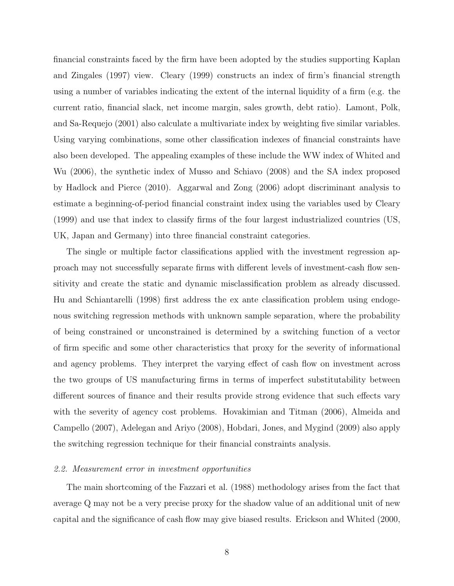financial constraints faced by the firm have been adopted by the studies supporting Kaplan and Zingales (1997) view. Cleary (1999) constructs an index of firm's financial strength using a number of variables indicating the extent of the internal liquidity of a firm (e.g. the current ratio, financial slack, net income margin, sales growth, debt ratio). Lamont, Polk, and Sa-Requejo (2001) also calculate a multivariate index by weighting five similar variables. Using varying combinations, some other classification indexes of financial constraints have also been developed. The appealing examples of these include the WW index of Whited and Wu (2006), the synthetic index of Musso and Schiavo (2008) and the SA index proposed by Hadlock and Pierce (2010). Aggarwal and Zong (2006) adopt discriminant analysis to estimate a beginning-of-period financial constraint index using the variables used by Cleary (1999) and use that index to classify firms of the four largest industrialized countries (US, UK, Japan and Germany) into three financial constraint categories.

The single or multiple factor classifications applied with the investment regression approach may not successfully separate firms with different levels of investment-cash flow sensitivity and create the static and dynamic misclassification problem as already discussed. Hu and Schiantarelli (1998) first address the ex ante classification problem using endogenous switching regression methods with unknown sample separation, where the probability of being constrained or unconstrained is determined by a switching function of a vector of firm specific and some other characteristics that proxy for the severity of informational and agency problems. They interpret the varying effect of cash flow on investment across the two groups of US manufacturing firms in terms of imperfect substitutability between different sources of finance and their results provide strong evidence that such effects vary with the severity of agency cost problems. Hovakimian and Titman (2006), Almeida and Campello (2007), Adelegan and Ariyo (2008), Hobdari, Jones, and Mygind (2009) also apply the switching regression technique for their financial constraints analysis.

#### 2.2. Measurement error in investment opportunities

The main shortcoming of the Fazzari et al. (1988) methodology arises from the fact that average Q may not be a very precise proxy for the shadow value of an additional unit of new capital and the significance of cash flow may give biased results. Erickson and Whited (2000,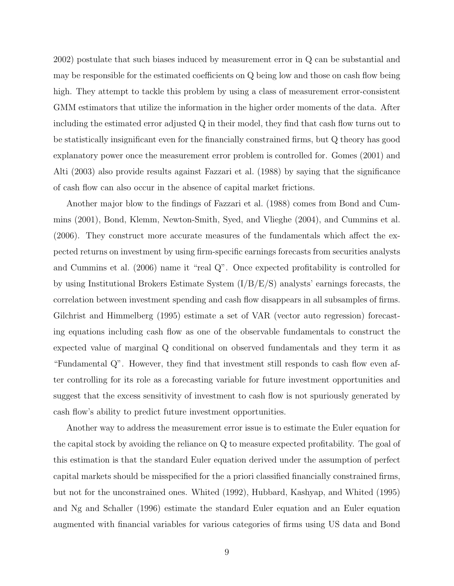2002) postulate that such biases induced by measurement error in Q can be substantial and may be responsible for the estimated coefficients on Q being low and those on cash flow being high. They attempt to tackle this problem by using a class of measurement error-consistent GMM estimators that utilize the information in the higher order moments of the data. After including the estimated error adjusted Q in their model, they find that cash flow turns out to be statistically insignificant even for the financially constrained firms, but Q theory has good explanatory power once the measurement error problem is controlled for. Gomes (2001) and Alti (2003) also provide results against Fazzari et al. (1988) by saying that the significance of cash flow can also occur in the absence of capital market frictions.

Another major blow to the findings of Fazzari et al. (1988) comes from Bond and Cummins (2001), Bond, Klemm, Newton-Smith, Syed, and Vlieghe (2004), and Cummins et al. (2006). They construct more accurate measures of the fundamentals which affect the expected returns on investment by using firm-specific earnings forecasts from securities analysts and Cummins et al. (2006) name it "real Q". Once expected profitability is controlled for by using Institutional Brokers Estimate System (I/B/E/S) analysts' earnings forecasts, the correlation between investment spending and cash flow disappears in all subsamples of firms. Gilchrist and Himmelberg (1995) estimate a set of VAR (vector auto regression) forecasting equations including cash flow as one of the observable fundamentals to construct the expected value of marginal Q conditional on observed fundamentals and they term it as "Fundamental Q". However, they find that investment still responds to cash flow even after controlling for its role as a forecasting variable for future investment opportunities and suggest that the excess sensitivity of investment to cash flow is not spuriously generated by cash flow's ability to predict future investment opportunities.

Another way to address the measurement error issue is to estimate the Euler equation for the capital stock by avoiding the reliance on Q to measure expected profitability. The goal of this estimation is that the standard Euler equation derived under the assumption of perfect capital markets should be misspecified for the a priori classified financially constrained firms, but not for the unconstrained ones. Whited (1992), Hubbard, Kashyap, and Whited (1995) and Ng and Schaller (1996) estimate the standard Euler equation and an Euler equation augmented with financial variables for various categories of firms using US data and Bond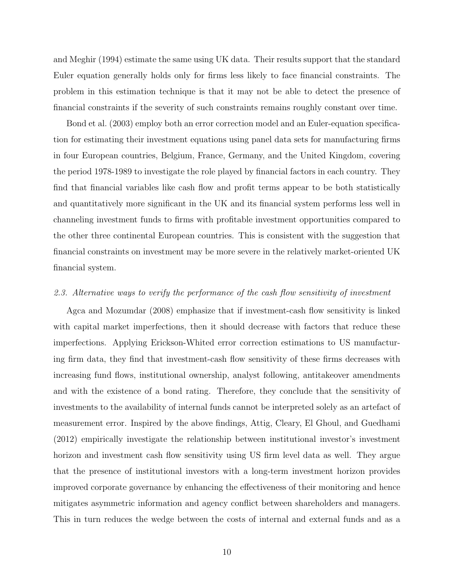and Meghir (1994) estimate the same using UK data. Their results support that the standard Euler equation generally holds only for firms less likely to face financial constraints. The problem in this estimation technique is that it may not be able to detect the presence of financial constraints if the severity of such constraints remains roughly constant over time.

Bond et al. (2003) employ both an error correction model and an Euler-equation specification for estimating their investment equations using panel data sets for manufacturing firms in four European countries, Belgium, France, Germany, and the United Kingdom, covering the period 1978-1989 to investigate the role played by financial factors in each country. They find that financial variables like cash flow and profit terms appear to be both statistically and quantitatively more significant in the UK and its financial system performs less well in channeling investment funds to firms with profitable investment opportunities compared to the other three continental European countries. This is consistent with the suggestion that financial constraints on investment may be more severe in the relatively market-oriented UK financial system.

#### 2.3. Alternative ways to verify the performance of the cash flow sensitivity of investment

Agca and Mozumdar (2008) emphasize that if investment-cash flow sensitivity is linked with capital market imperfections, then it should decrease with factors that reduce these imperfections. Applying Erickson-Whited error correction estimations to US manufacturing firm data, they find that investment-cash flow sensitivity of these firms decreases with increasing fund flows, institutional ownership, analyst following, antitakeover amendments and with the existence of a bond rating. Therefore, they conclude that the sensitivity of investments to the availability of internal funds cannot be interpreted solely as an artefact of measurement error. Inspired by the above findings, Attig, Cleary, El Ghoul, and Guedhami (2012) empirically investigate the relationship between institutional investor's investment horizon and investment cash flow sensitivity using US firm level data as well. They argue that the presence of institutional investors with a long-term investment horizon provides improved corporate governance by enhancing the effectiveness of their monitoring and hence mitigates asymmetric information and agency conflict between shareholders and managers. This in turn reduces the wedge between the costs of internal and external funds and as a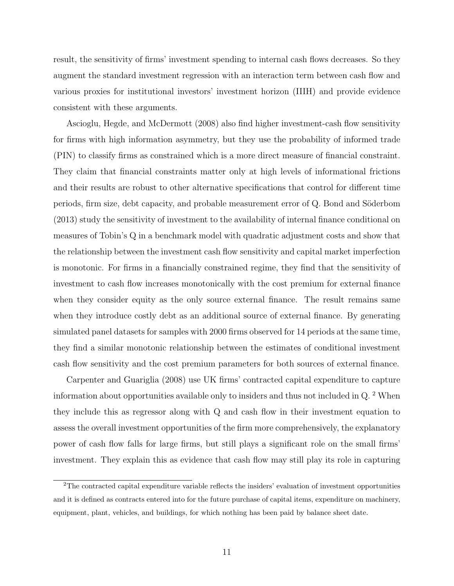result, the sensitivity of firms' investment spending to internal cash flows decreases. So they augment the standard investment regression with an interaction term between cash flow and various proxies for institutional investors' investment horizon (IIIH) and provide evidence consistent with these arguments.

Ascioglu, Hegde, and McDermott (2008) also find higher investment-cash flow sensitivity for firms with high information asymmetry, but they use the probability of informed trade (PIN) to classify firms as constrained which is a more direct measure of financial constraint. They claim that financial constraints matter only at high levels of informational frictions and their results are robust to other alternative specifications that control for different time periods, firm size, debt capacity, and probable measurement error of Q. Bond and Söderbom (2013) study the sensitivity of investment to the availability of internal finance conditional on measures of Tobin's Q in a benchmark model with quadratic adjustment costs and show that the relationship between the investment cash flow sensitivity and capital market imperfection is monotonic. For firms in a financially constrained regime, they find that the sensitivity of investment to cash flow increases monotonically with the cost premium for external finance when they consider equity as the only source external finance. The result remains same when they introduce costly debt as an additional source of external finance. By generating simulated panel datasets for samples with 2000 firms observed for 14 periods at the same time, they find a similar monotonic relationship between the estimates of conditional investment cash flow sensitivity and the cost premium parameters for both sources of external finance.

Carpenter and Guariglia (2008) use UK firms' contracted capital expenditure to capture information about opportunities available only to insiders and thus not included in Q. $^2$  When they include this as regressor along with Q and cash flow in their investment equation to assess the overall investment opportunities of the firm more comprehensively, the explanatory power of cash flow falls for large firms, but still plays a significant role on the small firms' investment. They explain this as evidence that cash flow may still play its role in capturing

<sup>2</sup>The contracted capital expenditure variable reflects the insiders' evaluation of investment opportunities and it is defined as contracts entered into for the future purchase of capital items, expenditure on machinery, equipment, plant, vehicles, and buildings, for which nothing has been paid by balance sheet date.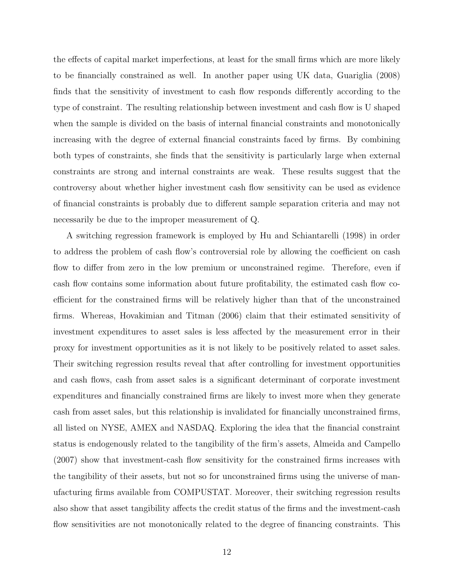the effects of capital market imperfections, at least for the small firms which are more likely to be financially constrained as well. In another paper using UK data, Guariglia (2008) finds that the sensitivity of investment to cash flow responds differently according to the type of constraint. The resulting relationship between investment and cash flow is U shaped when the sample is divided on the basis of internal financial constraints and monotonically increasing with the degree of external financial constraints faced by firms. By combining both types of constraints, she finds that the sensitivity is particularly large when external constraints are strong and internal constraints are weak. These results suggest that the controversy about whether higher investment cash flow sensitivity can be used as evidence of financial constraints is probably due to different sample separation criteria and may not necessarily be due to the improper measurement of Q.

A switching regression framework is employed by Hu and Schiantarelli (1998) in order to address the problem of cash flow's controversial role by allowing the coefficient on cash flow to differ from zero in the low premium or unconstrained regime. Therefore, even if cash flow contains some information about future profitability, the estimated cash flow coefficient for the constrained firms will be relatively higher than that of the unconstrained firms. Whereas, Hovakimian and Titman (2006) claim that their estimated sensitivity of investment expenditures to asset sales is less affected by the measurement error in their proxy for investment opportunities as it is not likely to be positively related to asset sales. Their switching regression results reveal that after controlling for investment opportunities and cash flows, cash from asset sales is a significant determinant of corporate investment expenditures and financially constrained firms are likely to invest more when they generate cash from asset sales, but this relationship is invalidated for financially unconstrained firms, all listed on NYSE, AMEX and NASDAQ. Exploring the idea that the financial constraint status is endogenously related to the tangibility of the firm's assets, Almeida and Campello (2007) show that investment-cash flow sensitivity for the constrained firms increases with the tangibility of their assets, but not so for unconstrained firms using the universe of manufacturing firms available from COMPUSTAT. Moreover, their switching regression results also show that asset tangibility affects the credit status of the firms and the investment-cash flow sensitivities are not monotonically related to the degree of financing constraints. This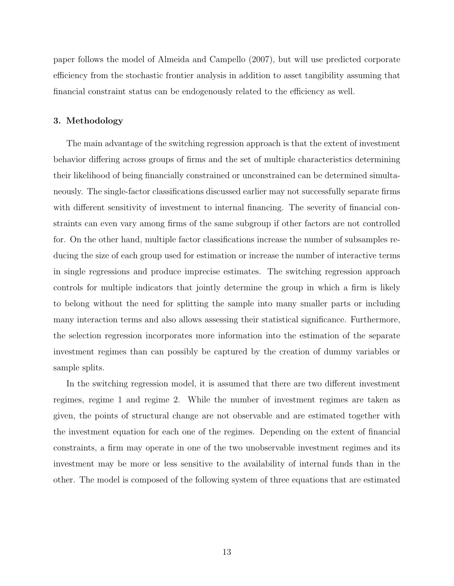paper follows the model of Almeida and Campello (2007), but will use predicted corporate efficiency from the stochastic frontier analysis in addition to asset tangibility assuming that financial constraint status can be endogenously related to the efficiency as well.

#### 3. Methodology

The main advantage of the switching regression approach is that the extent of investment behavior differing across groups of firms and the set of multiple characteristics determining their likelihood of being financially constrained or unconstrained can be determined simultaneously. The single-factor classifications discussed earlier may not successfully separate firms with different sensitivity of investment to internal financing. The severity of financial constraints can even vary among firms of the same subgroup if other factors are not controlled for. On the other hand, multiple factor classifications increase the number of subsamples reducing the size of each group used for estimation or increase the number of interactive terms in single regressions and produce imprecise estimates. The switching regression approach controls for multiple indicators that jointly determine the group in which a firm is likely to belong without the need for splitting the sample into many smaller parts or including many interaction terms and also allows assessing their statistical significance. Furthermore, the selection regression incorporates more information into the estimation of the separate investment regimes than can possibly be captured by the creation of dummy variables or sample splits.

In the switching regression model, it is assumed that there are two different investment regimes, regime 1 and regime 2. While the number of investment regimes are taken as given, the points of structural change are not observable and are estimated together with the investment equation for each one of the regimes. Depending on the extent of financial constraints, a firm may operate in one of the two unobservable investment regimes and its investment may be more or less sensitive to the availability of internal funds than in the other. The model is composed of the following system of three equations that are estimated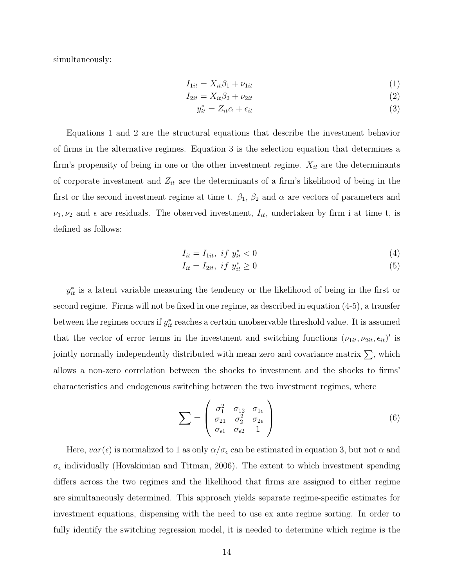simultaneously:

$$
I_{1it} = X_{it}\beta_1 + \nu_{1it} \tag{1}
$$

$$
I_{2it} = X_{it} \beta_2 + \nu_{2it} \tag{2}
$$

$$
y_{it}^* = Z_{it}\alpha + \epsilon_{it} \tag{3}
$$

Equations 1 and 2 are the structural equations that describe the investment behavior of firms in the alternative regimes. Equation 3 is the selection equation that determines a firm's propensity of being in one or the other investment regime.  $X_{it}$  are the determinants of corporate investment and  $Z_{it}$  are the determinants of a firm's likelihood of being in the first or the second investment regime at time t.  $\beta_1$ ,  $\beta_2$  and  $\alpha$  are vectors of parameters and  $\nu_1, \nu_2$  and  $\epsilon$  are residuals. The observed investment,  $I_{it}$ , undertaken by firm i at time t, is defined as follows:

$$
I_{it} = I_{1it}, \; if \; y_{it}^* < 0 \tag{4}
$$

$$
I_{it} = I_{2it}, \quad if \quad y_{it}^* \ge 0 \tag{5}
$$

 $y_{it}^*$  is a latent variable measuring the tendency or the likelihood of being in the first or second regime. Firms will not be fixed in one regime, as described in equation (4-5), a transfer between the regimes occurs if  $y_{it}^*$  reaches a certain unobservable threshold value. It is assumed that the vector of error terms in the investment and switching functions  $(\nu_{1it}, \nu_{2it}, \epsilon_{it})'$  is jointly normally independently distributed with mean zero and covariance matrix  $\Sigma$ , which allows a non-zero correlation between the shocks to investment and the shocks to firms' characteristics and endogenous switching between the two investment regimes, where

$$
\sum = \begin{pmatrix} \sigma_1^2 & \sigma_{12} & \sigma_{1\epsilon} \\ \sigma_{21} & \sigma_2^2 & \sigma_{2\epsilon} \\ \sigma_{\epsilon 1} & \sigma_{\epsilon 2} & 1 \end{pmatrix}
$$
 (6)

Here,  $var(\epsilon)$  is normalized to 1 as only  $\alpha/\sigma_{\epsilon}$  can be estimated in equation 3, but not  $\alpha$  and  $\sigma_{\epsilon}$  individually (Hovakimian and Titman, 2006). The extent to which investment spending differs across the two regimes and the likelihood that firms are assigned to either regime are simultaneously determined. This approach yields separate regime-specific estimates for investment equations, dispensing with the need to use ex ante regime sorting. In order to fully identify the switching regression model, it is needed to determine which regime is the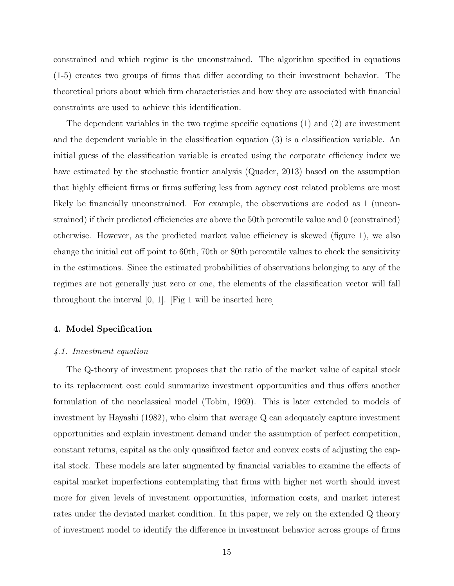constrained and which regime is the unconstrained. The algorithm specified in equations (1-5) creates two groups of firms that differ according to their investment behavior. The theoretical priors about which firm characteristics and how they are associated with financial constraints are used to achieve this identification.

The dependent variables in the two regime specific equations (1) and (2) are investment and the dependent variable in the classification equation (3) is a classification variable. An initial guess of the classification variable is created using the corporate efficiency index we have estimated by the stochastic frontier analysis (Quader, 2013) based on the assumption that highly efficient firms or firms suffering less from agency cost related problems are most likely be financially unconstrained. For example, the observations are coded as 1 (unconstrained) if their predicted efficiencies are above the 50th percentile value and 0 (constrained) otherwise. However, as the predicted market value efficiency is skewed (figure 1), we also change the initial cut off point to 60th, 70th or 80th percentile values to check the sensitivity in the estimations. Since the estimated probabilities of observations belonging to any of the regimes are not generally just zero or one, the elements of the classification vector will fall throughout the interval  $[0, 1]$ . [Fig 1 will be inserted here]

#### 4. Model Specification

#### 4.1. Investment equation

The Q-theory of investment proposes that the ratio of the market value of capital stock to its replacement cost could summarize investment opportunities and thus offers another formulation of the neoclassical model (Tobin, 1969). This is later extended to models of investment by Hayashi (1982), who claim that average Q can adequately capture investment opportunities and explain investment demand under the assumption of perfect competition, constant returns, capital as the only quasifixed factor and convex costs of adjusting the capital stock. These models are later augmented by financial variables to examine the effects of capital market imperfections contemplating that firms with higher net worth should invest more for given levels of investment opportunities, information costs, and market interest rates under the deviated market condition. In this paper, we rely on the extended Q theory of investment model to identify the difference in investment behavior across groups of firms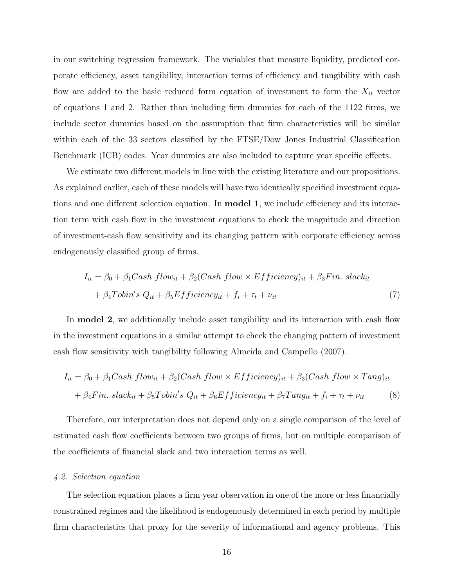in our switching regression framework. The variables that measure liquidity, predicted corporate efficiency, asset tangibility, interaction terms of efficiency and tangibility with cash flow are added to the basic reduced form equation of investment to form the  $X_{it}$  vector of equations 1 and 2. Rather than including firm dummies for each of the 1122 firms, we include sector dummies based on the assumption that firm characteristics will be similar within each of the 33 sectors classified by the FTSE/Dow Jones Industrial Classification Benchmark (ICB) codes. Year dummies are also included to capture year specific effects.

We estimate two different models in line with the existing literature and our propositions. As explained earlier, each of these models will have two identically specified investment equations and one different selection equation. In model 1, we include efficiency and its interaction term with cash flow in the investment equations to check the magnitude and direction of investment-cash flow sensitivity and its changing pattern with corporate efficiency across endogenously classified group of firms.

$$
I_{it} = \beta_0 + \beta_1 Cash \ flow_{it} + \beta_2 (Cash \ flow \times Efficiency)_{it} + \beta_3 Fin. \ slack_{it}
$$

$$
+ \beta_4 Tobin's \ Q_{it} + \beta_5Efficiency_{it} + f_i + \tau_t + \nu_{it}
$$
 $(7)$ 

In **model 2**, we additionally include asset tangibility and its interaction with cash flow in the investment equations in a similar attempt to check the changing pattern of investment cash flow sensitivity with tangibility following Almeida and Campello (2007).

$$
I_{it} = \beta_0 + \beta_1 Cash \ flow_{it} + \beta_2 (Cash \ flow \times Effect \ force_{it})_{it} + \beta_3 (Cash \ flow \times Tang)_{it}
$$

$$
+ \beta_4 Fin. \ slack_{it} + \beta_5 Tobin's \ Q_{it} + \beta_6Efficiency_{it} + \beta_7 Tang_{it} + f_i + \tau_t + \nu_{it}
$$
(8)

Therefore, our interpretation does not depend only on a single comparison of the level of estimated cash flow coefficients between two groups of firms, but on multiple comparison of the coefficients of financial slack and two interaction terms as well.

#### 4.2. Selection equation

The selection equation places a firm year observation in one of the more or less financially constrained regimes and the likelihood is endogenously determined in each period by multiple firm characteristics that proxy for the severity of informational and agency problems. This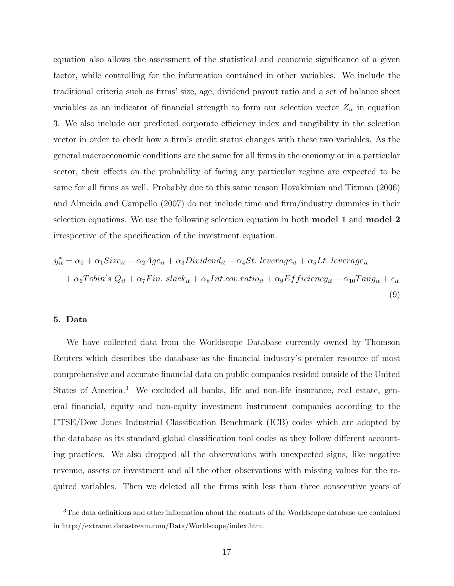equation also allows the assessment of the statistical and economic significance of a given factor, while controlling for the information contained in other variables. We include the traditional criteria such as firms' size, age, dividend payout ratio and a set of balance sheet variables as an indicator of financial strength to form our selection vector  $Z_{it}$  in equation 3. We also include our predicted corporate efficiency index and tangibility in the selection vector in order to check how a firm's credit status changes with these two variables. As the general macroeconomic conditions are the same for all firms in the economy or in a particular sector, their effects on the probability of facing any particular regime are expected to be same for all firms as well. Probably due to this same reason Hovakimian and Titman (2006) and Almeida and Campello (2007) do not include time and firm/industry dummies in their selection equations. We use the following selection equation in both model 1 and model 2 irrespective of the specification of the investment equation.

$$
y_{it}^* = \alpha_0 + \alpha_1 Size_{it} + \alpha_2 Age_{it} + \alpha_3 Dividend_{it} + \alpha_4 St. \text{ leverage}_{it} + \alpha_5 Lt. \text{ leverage}_{it}
$$

$$
+ \alpha_6 Tobin's \text{ } Q_{it} + \alpha_7Fin. \text{ } slack_{it} + \alpha_8Int.cov.ratio_{it} + \alpha_9Efficiency_{it} + \alpha_{10} Tang_{it} + \epsilon_{it}
$$
\n
$$
(9)
$$

#### 5. Data

We have collected data from the Worldscope Database currently owned by Thomson Reuters which describes the database as the financial industry's premier resource of most comprehensive and accurate financial data on public companies resided outside of the United States of America.<sup>3</sup> We excluded all banks, life and non-life insurance, real estate, general financial, equity and non-equity investment instrument companies according to the FTSE/Dow Jones Industrial Classification Benchmark (ICB) codes which are adopted by the database as its standard global classification tool codes as they follow different accounting practices. We also dropped all the observations with unexpected signs, like negative revenue, assets or investment and all the other observations with missing values for the required variables. Then we deleted all the firms with less than three consecutive years of

<sup>3</sup>The data definitions and other information about the contents of the Worldscope database are contained in http://extranet.datastream.com/Data/Worldscope/index.htm.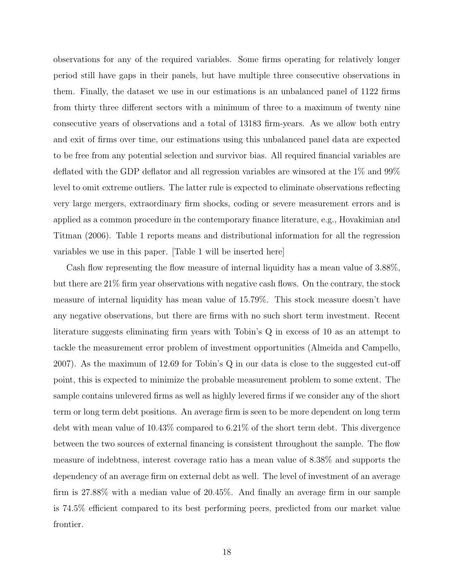observations for any of the required variables. Some firms operating for relatively longer period still have gaps in their panels, but have multiple three consecutive observations in them. Finally, the dataset we use in our estimations is an unbalanced panel of 1122 firms from thirty three different sectors with a minimum of three to a maximum of twenty nine consecutive years of observations and a total of 13183 firm-years. As we allow both entry and exit of firms over time, our estimations using this unbalanced panel data are expected to be free from any potential selection and survivor bias. All required financial variables are deflated with the GDP deflator and all regression variables are winsored at the 1% and 99% level to omit extreme outliers. The latter rule is expected to eliminate observations reflecting very large mergers, extraordinary firm shocks, coding or severe measurement errors and is applied as a common procedure in the contemporary finance literature, e.g., Hovakimian and Titman (2006). Table 1 reports means and distributional information for all the regression variables we use in this paper. [Table 1 will be inserted here]

Cash flow representing the flow measure of internal liquidity has a mean value of 3.88%, but there are 21% firm year observations with negative cash flows. On the contrary, the stock measure of internal liquidity has mean value of 15.79%. This stock measure doesn't have any negative observations, but there are firms with no such short term investment. Recent literature suggests eliminating firm years with Tobin's Q in excess of 10 as an attempt to tackle the measurement error problem of investment opportunities (Almeida and Campello, 2007). As the maximum of 12.69 for Tobin's Q in our data is close to the suggested cut-off point, this is expected to minimize the probable measurement problem to some extent. The sample contains unlevered firms as well as highly levered firms if we consider any of the short term or long term debt positions. An average firm is seen to be more dependent on long term debt with mean value of 10.43% compared to 6.21% of the short term debt. This divergence between the two sources of external financing is consistent throughout the sample. The flow measure of indebtness, interest coverage ratio has a mean value of 8.38% and supports the dependency of an average firm on external debt as well. The level of investment of an average firm is 27.88% with a median value of 20.45%. And finally an average firm in our sample is 74.5% efficient compared to its best performing peers, predicted from our market value frontier.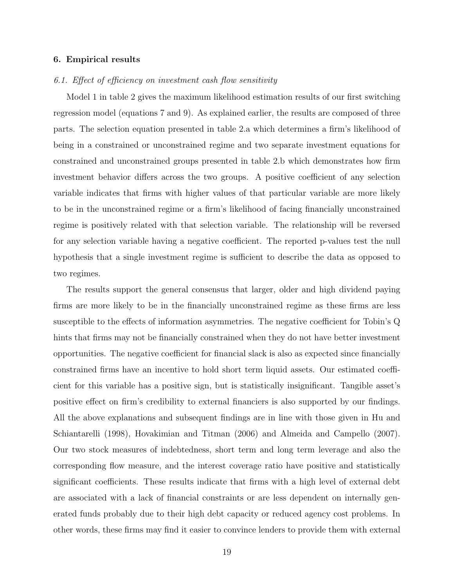#### 6. Empirical results

#### 6.1. Effect of efficiency on investment cash flow sensitivity

Model 1 in table 2 gives the maximum likelihood estimation results of our first switching regression model (equations 7 and 9). As explained earlier, the results are composed of three parts. The selection equation presented in table 2.a which determines a firm's likelihood of being in a constrained or unconstrained regime and two separate investment equations for constrained and unconstrained groups presented in table 2.b which demonstrates how firm investment behavior differs across the two groups. A positive coefficient of any selection variable indicates that firms with higher values of that particular variable are more likely to be in the unconstrained regime or a firm's likelihood of facing financially unconstrained regime is positively related with that selection variable. The relationship will be reversed for any selection variable having a negative coefficient. The reported p-values test the null hypothesis that a single investment regime is sufficient to describe the data as opposed to two regimes.

The results support the general consensus that larger, older and high dividend paying firms are more likely to be in the financially unconstrained regime as these firms are less susceptible to the effects of information asymmetries. The negative coefficient for Tobin's Q hints that firms may not be financially constrained when they do not have better investment opportunities. The negative coefficient for financial slack is also as expected since financially constrained firms have an incentive to hold short term liquid assets. Our estimated coefficient for this variable has a positive sign, but is statistically insignificant. Tangible asset's positive effect on firm's credibility to external financiers is also supported by our findings. All the above explanations and subsequent findings are in line with those given in Hu and Schiantarelli (1998), Hovakimian and Titman (2006) and Almeida and Campello (2007). Our two stock measures of indebtedness, short term and long term leverage and also the corresponding flow measure, and the interest coverage ratio have positive and statistically significant coefficients. These results indicate that firms with a high level of external debt are associated with a lack of financial constraints or are less dependent on internally generated funds probably due to their high debt capacity or reduced agency cost problems. In other words, these firms may find it easier to convince lenders to provide them with external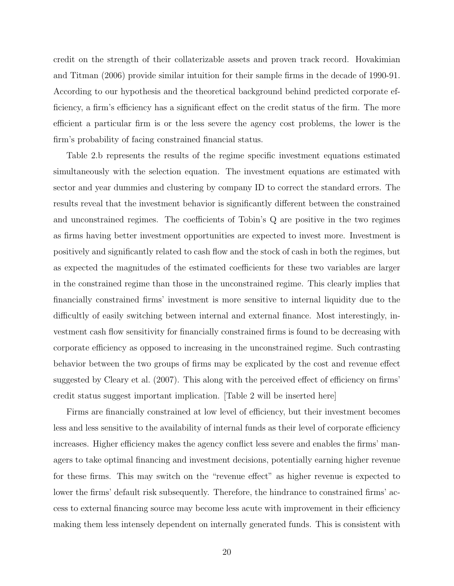credit on the strength of their collaterizable assets and proven track record. Hovakimian and Titman (2006) provide similar intuition for their sample firms in the decade of 1990-91. According to our hypothesis and the theoretical background behind predicted corporate efficiency, a firm's efficiency has a significant effect on the credit status of the firm. The more efficient a particular firm is or the less severe the agency cost problems, the lower is the firm's probability of facing constrained financial status.

Table 2.b represents the results of the regime specific investment equations estimated simultaneously with the selection equation. The investment equations are estimated with sector and year dummies and clustering by company ID to correct the standard errors. The results reveal that the investment behavior is significantly different between the constrained and unconstrained regimes. The coefficients of Tobin's Q are positive in the two regimes as firms having better investment opportunities are expected to invest more. Investment is positively and significantly related to cash flow and the stock of cash in both the regimes, but as expected the magnitudes of the estimated coefficients for these two variables are larger in the constrained regime than those in the unconstrained regime. This clearly implies that financially constrained firms' investment is more sensitive to internal liquidity due to the difficultly of easily switching between internal and external finance. Most interestingly, investment cash flow sensitivity for financially constrained firms is found to be decreasing with corporate efficiency as opposed to increasing in the unconstrained regime. Such contrasting behavior between the two groups of firms may be explicated by the cost and revenue effect suggested by Cleary et al. (2007). This along with the perceived effect of efficiency on firms' credit status suggest important implication. [Table 2 will be inserted here]

Firms are financially constrained at low level of efficiency, but their investment becomes less and less sensitive to the availability of internal funds as their level of corporate efficiency increases. Higher efficiency makes the agency conflict less severe and enables the firms' managers to take optimal financing and investment decisions, potentially earning higher revenue for these firms. This may switch on the "revenue effect" as higher revenue is expected to lower the firms' default risk subsequently. Therefore, the hindrance to constrained firms' access to external financing source may become less acute with improvement in their efficiency making them less intensely dependent on internally generated funds. This is consistent with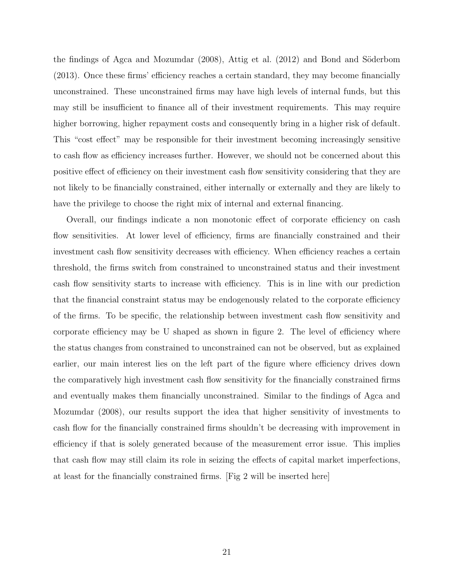the findings of Agca and Mozumdar  $(2008)$ , Attig et al.  $(2012)$  and Bond and Söderbom (2013). Once these firms' efficiency reaches a certain standard, they may become financially unconstrained. These unconstrained firms may have high levels of internal funds, but this may still be insufficient to finance all of their investment requirements. This may require higher borrowing, higher repayment costs and consequently bring in a higher risk of default. This "cost effect" may be responsible for their investment becoming increasingly sensitive to cash flow as efficiency increases further. However, we should not be concerned about this positive effect of efficiency on their investment cash flow sensitivity considering that they are not likely to be financially constrained, either internally or externally and they are likely to have the privilege to choose the right mix of internal and external financing.

Overall, our findings indicate a non monotonic effect of corporate efficiency on cash flow sensitivities. At lower level of efficiency, firms are financially constrained and their investment cash flow sensitivity decreases with efficiency. When efficiency reaches a certain threshold, the firms switch from constrained to unconstrained status and their investment cash flow sensitivity starts to increase with efficiency. This is in line with our prediction that the financial constraint status may be endogenously related to the corporate efficiency of the firms. To be specific, the relationship between investment cash flow sensitivity and corporate efficiency may be U shaped as shown in figure 2. The level of efficiency where the status changes from constrained to unconstrained can not be observed, but as explained earlier, our main interest lies on the left part of the figure where efficiency drives down the comparatively high investment cash flow sensitivity for the financially constrained firms and eventually makes them financially unconstrained. Similar to the findings of Agca and Mozumdar (2008), our results support the idea that higher sensitivity of investments to cash flow for the financially constrained firms shouldn't be decreasing with improvement in efficiency if that is solely generated because of the measurement error issue. This implies that cash flow may still claim its role in seizing the effects of capital market imperfections, at least for the financially constrained firms. [Fig 2 will be inserted here]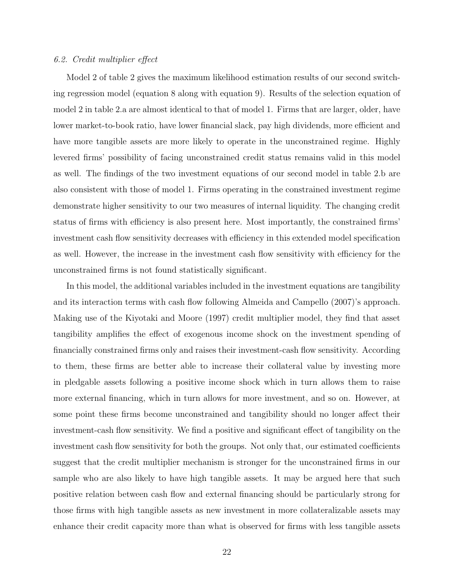#### 6.2. Credit multiplier effect

Model 2 of table 2 gives the maximum likelihood estimation results of our second switching regression model (equation 8 along with equation 9). Results of the selection equation of model 2 in table 2.a are almost identical to that of model 1. Firms that are larger, older, have lower market-to-book ratio, have lower financial slack, pay high dividends, more efficient and have more tangible assets are more likely to operate in the unconstrained regime. Highly levered firms' possibility of facing unconstrained credit status remains valid in this model as well. The findings of the two investment equations of our second model in table 2.b are also consistent with those of model 1. Firms operating in the constrained investment regime demonstrate higher sensitivity to our two measures of internal liquidity. The changing credit status of firms with efficiency is also present here. Most importantly, the constrained firms' investment cash flow sensitivity decreases with efficiency in this extended model specification as well. However, the increase in the investment cash flow sensitivity with efficiency for the unconstrained firms is not found statistically significant.

In this model, the additional variables included in the investment equations are tangibility and its interaction terms with cash flow following Almeida and Campello (2007)'s approach. Making use of the Kiyotaki and Moore (1997) credit multiplier model, they find that asset tangibility amplifies the effect of exogenous income shock on the investment spending of financially constrained firms only and raises their investment-cash flow sensitivity. According to them, these firms are better able to increase their collateral value by investing more in pledgable assets following a positive income shock which in turn allows them to raise more external financing, which in turn allows for more investment, and so on. However, at some point these firms become unconstrained and tangibility should no longer affect their investment-cash flow sensitivity. We find a positive and significant effect of tangibility on the investment cash flow sensitivity for both the groups. Not only that, our estimated coefficients suggest that the credit multiplier mechanism is stronger for the unconstrained firms in our sample who are also likely to have high tangible assets. It may be argued here that such positive relation between cash flow and external financing should be particularly strong for those firms with high tangible assets as new investment in more collateralizable assets may enhance their credit capacity more than what is observed for firms with less tangible assets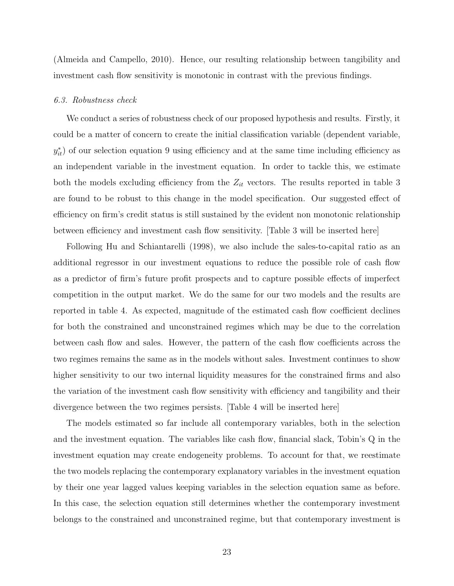(Almeida and Campello, 2010). Hence, our resulting relationship between tangibility and investment cash flow sensitivity is monotonic in contrast with the previous findings.

#### 6.3. Robustness check

We conduct a series of robustness check of our proposed hypothesis and results. Firstly, it could be a matter of concern to create the initial classification variable (dependent variable,  $y_{it}^*$ ) of our selection equation 9 using efficiency and at the same time including efficiency as an independent variable in the investment equation. In order to tackle this, we estimate both the models excluding efficiency from the  $Z_{it}$  vectors. The results reported in table 3 are found to be robust to this change in the model specification. Our suggested effect of efficiency on firm's credit status is still sustained by the evident non monotonic relationship between efficiency and investment cash flow sensitivity. [Table 3 will be inserted here]

Following Hu and Schiantarelli (1998), we also include the sales-to-capital ratio as an additional regressor in our investment equations to reduce the possible role of cash flow as a predictor of firm's future profit prospects and to capture possible effects of imperfect competition in the output market. We do the same for our two models and the results are reported in table 4. As expected, magnitude of the estimated cash flow coefficient declines for both the constrained and unconstrained regimes which may be due to the correlation between cash flow and sales. However, the pattern of the cash flow coefficients across the two regimes remains the same as in the models without sales. Investment continues to show higher sensitivity to our two internal liquidity measures for the constrained firms and also the variation of the investment cash flow sensitivity with efficiency and tangibility and their divergence between the two regimes persists. [Table 4 will be inserted here]

The models estimated so far include all contemporary variables, both in the selection and the investment equation. The variables like cash flow, financial slack, Tobin's Q in the investment equation may create endogeneity problems. To account for that, we reestimate the two models replacing the contemporary explanatory variables in the investment equation by their one year lagged values keeping variables in the selection equation same as before. In this case, the selection equation still determines whether the contemporary investment belongs to the constrained and unconstrained regime, but that contemporary investment is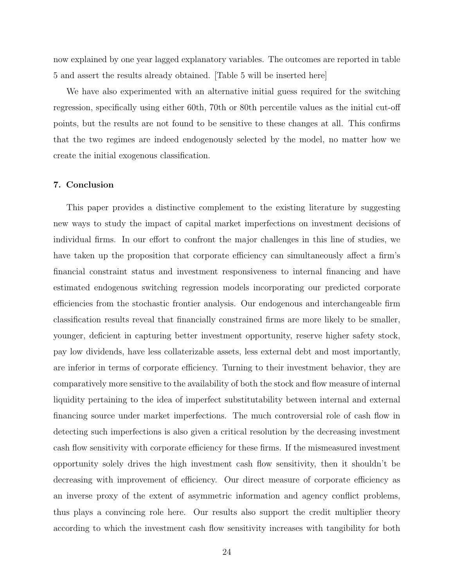now explained by one year lagged explanatory variables. The outcomes are reported in table 5 and assert the results already obtained. [Table 5 will be inserted here]

We have also experimented with an alternative initial guess required for the switching regression, specifically using either 60th, 70th or 80th percentile values as the initial cut-off points, but the results are not found to be sensitive to these changes at all. This confirms that the two regimes are indeed endogenously selected by the model, no matter how we create the initial exogenous classification.

#### 7. Conclusion

This paper provides a distinctive complement to the existing literature by suggesting new ways to study the impact of capital market imperfections on investment decisions of individual firms. In our effort to confront the major challenges in this line of studies, we have taken up the proposition that corporate efficiency can simultaneously affect a firm's financial constraint status and investment responsiveness to internal financing and have estimated endogenous switching regression models incorporating our predicted corporate efficiencies from the stochastic frontier analysis. Our endogenous and interchangeable firm classification results reveal that financially constrained firms are more likely to be smaller, younger, deficient in capturing better investment opportunity, reserve higher safety stock, pay low dividends, have less collaterizable assets, less external debt and most importantly, are inferior in terms of corporate efficiency. Turning to their investment behavior, they are comparatively more sensitive to the availability of both the stock and flow measure of internal liquidity pertaining to the idea of imperfect substitutability between internal and external financing source under market imperfections. The much controversial role of cash flow in detecting such imperfections is also given a critical resolution by the decreasing investment cash flow sensitivity with corporate efficiency for these firms. If the mismeasured investment opportunity solely drives the high investment cash flow sensitivity, then it shouldn't be decreasing with improvement of efficiency. Our direct measure of corporate efficiency as an inverse proxy of the extent of asymmetric information and agency conflict problems, thus plays a convincing role here. Our results also support the credit multiplier theory according to which the investment cash flow sensitivity increases with tangibility for both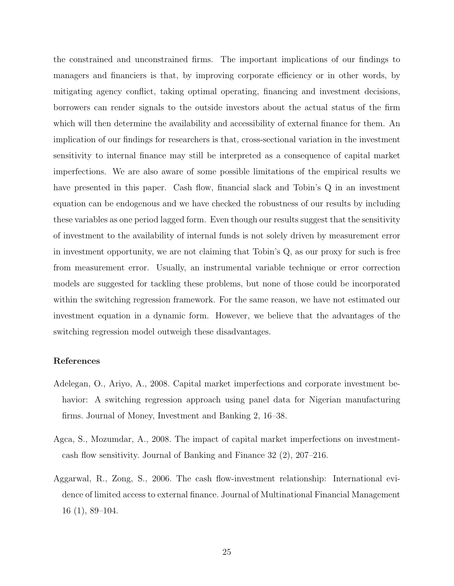the constrained and unconstrained firms. The important implications of our findings to managers and financiers is that, by improving corporate efficiency or in other words, by mitigating agency conflict, taking optimal operating, financing and investment decisions, borrowers can render signals to the outside investors about the actual status of the firm which will then determine the availability and accessibility of external finance for them. An implication of our findings for researchers is that, cross-sectional variation in the investment sensitivity to internal finance may still be interpreted as a consequence of capital market imperfections. We are also aware of some possible limitations of the empirical results we have presented in this paper. Cash flow, financial slack and Tobin's Q in an investment equation can be endogenous and we have checked the robustness of our results by including these variables as one period lagged form. Even though our results suggest that the sensitivity of investment to the availability of internal funds is not solely driven by measurement error in investment opportunity, we are not claiming that Tobin's Q, as our proxy for such is free from measurement error. Usually, an instrumental variable technique or error correction models are suggested for tackling these problems, but none of those could be incorporated within the switching regression framework. For the same reason, we have not estimated our investment equation in a dynamic form. However, we believe that the advantages of the switching regression model outweigh these disadvantages.

#### References

- Adelegan, O., Ariyo, A., 2008. Capital market imperfections and corporate investment behavior: A switching regression approach using panel data for Nigerian manufacturing firms. Journal of Money, Investment and Banking 2, 16–38.
- Agca, S., Mozumdar, A., 2008. The impact of capital market imperfections on investmentcash flow sensitivity. Journal of Banking and Finance 32 (2), 207–216.
- Aggarwal, R., Zong, S., 2006. The cash flow-investment relationship: International evidence of limited access to external finance. Journal of Multinational Financial Management 16 (1), 89–104.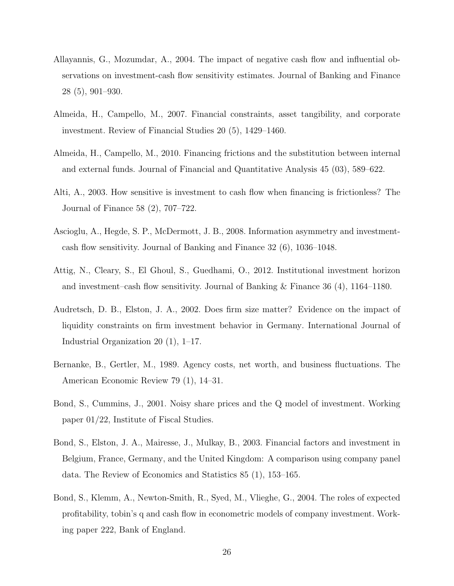- Allayannis, G., Mozumdar, A., 2004. The impact of negative cash flow and influential observations on investment-cash flow sensitivity estimates. Journal of Banking and Finance 28 (5), 901–930.
- Almeida, H., Campello, M., 2007. Financial constraints, asset tangibility, and corporate investment. Review of Financial Studies 20 (5), 1429–1460.
- Almeida, H., Campello, M., 2010. Financing frictions and the substitution between internal and external funds. Journal of Financial and Quantitative Analysis 45 (03), 589–622.
- Alti, A., 2003. How sensitive is investment to cash flow when financing is frictionless? The Journal of Finance 58 (2), 707–722.
- Ascioglu, A., Hegde, S. P., McDermott, J. B., 2008. Information asymmetry and investmentcash flow sensitivity. Journal of Banking and Finance 32 (6), 1036–1048.
- Attig, N., Cleary, S., El Ghoul, S., Guedhami, O., 2012. Institutional investment horizon and investment–cash flow sensitivity. Journal of Banking & Finance 36 (4), 1164–1180.
- Audretsch, D. B., Elston, J. A., 2002. Does firm size matter? Evidence on the impact of liquidity constraints on firm investment behavior in Germany. International Journal of Industrial Organization 20 (1), 1–17.
- Bernanke, B., Gertler, M., 1989. Agency costs, net worth, and business fluctuations. The American Economic Review 79 (1), 14–31.
- Bond, S., Cummins, J., 2001. Noisy share prices and the Q model of investment. Working paper 01/22, Institute of Fiscal Studies.
- Bond, S., Elston, J. A., Mairesse, J., Mulkay, B., 2003. Financial factors and investment in Belgium, France, Germany, and the United Kingdom: A comparison using company panel data. The Review of Economics and Statistics 85 (1), 153–165.
- Bond, S., Klemm, A., Newton-Smith, R., Syed, M., Vlieghe, G., 2004. The roles of expected profitability, tobin's q and cash flow in econometric models of company investment. Working paper 222, Bank of England.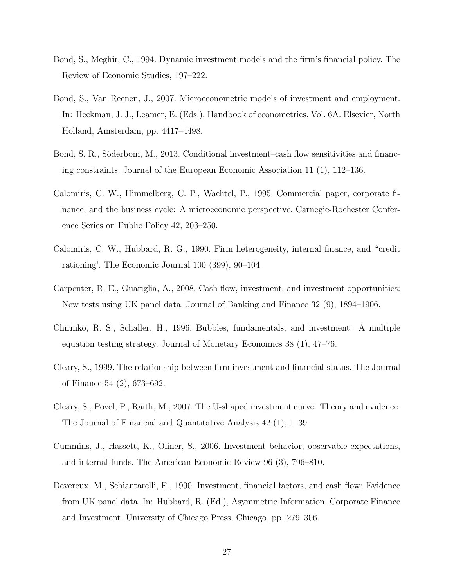- Bond, S., Meghir, C., 1994. Dynamic investment models and the firm's financial policy. The Review of Economic Studies, 197–222.
- Bond, S., Van Reenen, J., 2007. Microeconometric models of investment and employment. In: Heckman, J. J., Leamer, E. (Eds.), Handbook of econometrics. Vol. 6A. Elsevier, North Holland, Amsterdam, pp. 4417–4498.
- Bond, S. R., Söderbom, M., 2013. Conditional investment–cash flow sensitivities and financing constraints. Journal of the European Economic Association 11 (1), 112–136.
- Calomiris, C. W., Himmelberg, C. P., Wachtel, P., 1995. Commercial paper, corporate finance, and the business cycle: A microeconomic perspective. Carnegie-Rochester Conference Series on Public Policy 42, 203–250.
- Calomiris, C. W., Hubbard, R. G., 1990. Firm heterogeneity, internal finance, and "credit rationing'. The Economic Journal 100 (399), 90–104.
- Carpenter, R. E., Guariglia, A., 2008. Cash flow, investment, and investment opportunities: New tests using UK panel data. Journal of Banking and Finance 32 (9), 1894–1906.
- Chirinko, R. S., Schaller, H., 1996. Bubbles, fundamentals, and investment: A multiple equation testing strategy. Journal of Monetary Economics 38 (1), 47–76.
- Cleary, S., 1999. The relationship between firm investment and financial status. The Journal of Finance 54 (2), 673–692.
- Cleary, S., Povel, P., Raith, M., 2007. The U-shaped investment curve: Theory and evidence. The Journal of Financial and Quantitative Analysis 42 (1), 1–39.
- Cummins, J., Hassett, K., Oliner, S., 2006. Investment behavior, observable expectations, and internal funds. The American Economic Review 96 (3), 796–810.
- Devereux, M., Schiantarelli, F., 1990. Investment, financial factors, and cash flow: Evidence from UK panel data. In: Hubbard, R. (Ed.), Asymmetric Information, Corporate Finance and Investment. University of Chicago Press, Chicago, pp. 279–306.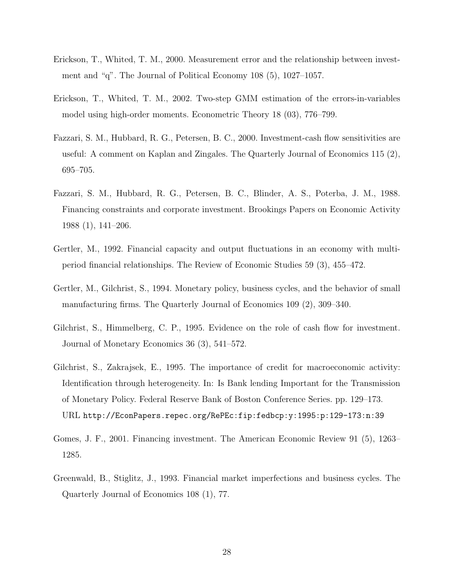- Erickson, T., Whited, T. M., 2000. Measurement error and the relationship between investment and "q". The Journal of Political Economy 108 (5), 1027–1057.
- Erickson, T., Whited, T. M., 2002. Two-step GMM estimation of the errors-in-variables model using high-order moments. Econometric Theory 18 (03), 776–799.
- Fazzari, S. M., Hubbard, R. G., Petersen, B. C., 2000. Investment-cash flow sensitivities are useful: A comment on Kaplan and Zingales. The Quarterly Journal of Economics 115 (2), 695–705.
- Fazzari, S. M., Hubbard, R. G., Petersen, B. C., Blinder, A. S., Poterba, J. M., 1988. Financing constraints and corporate investment. Brookings Papers on Economic Activity 1988 (1), 141–206.
- Gertler, M., 1992. Financial capacity and output fluctuations in an economy with multiperiod financial relationships. The Review of Economic Studies 59 (3), 455–472.
- Gertler, M., Gilchrist, S., 1994. Monetary policy, business cycles, and the behavior of small manufacturing firms. The Quarterly Journal of Economics 109 (2), 309–340.
- Gilchrist, S., Himmelberg, C. P., 1995. Evidence on the role of cash flow for investment. Journal of Monetary Economics 36 (3), 541–572.
- Gilchrist, S., Zakrajsek, E., 1995. The importance of credit for macroeconomic activity: Identification through heterogeneity. In: Is Bank lending Important for the Transmission of Monetary Policy. Federal Reserve Bank of Boston Conference Series. pp. 129–173. URL http://EconPapers.repec.org/RePEc:fip:fedbcp:y:1995:p:129-173:n:39
- Gomes, J. F., 2001. Financing investment. The American Economic Review 91 (5), 1263– 1285.
- Greenwald, B., Stiglitz, J., 1993. Financial market imperfections and business cycles. The Quarterly Journal of Economics 108 (1), 77.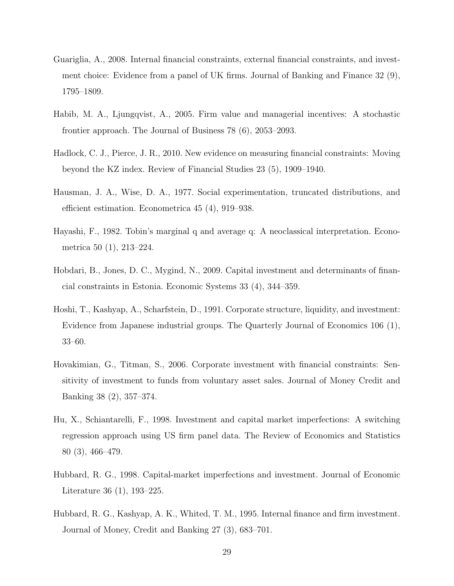- Guariglia, A., 2008. Internal financial constraints, external financial constraints, and investment choice: Evidence from a panel of UK firms. Journal of Banking and Finance 32 (9), 1795–1809.
- Habib, M. A., Ljungqvist, A., 2005. Firm value and managerial incentives: A stochastic frontier approach. The Journal of Business 78 (6), 2053–2093.
- Hadlock, C. J., Pierce, J. R., 2010. New evidence on measuring financial constraints: Moving beyond the KZ index. Review of Financial Studies 23 (5), 1909–1940.
- Hausman, J. A., Wise, D. A., 1977. Social experimentation, truncated distributions, and efficient estimation. Econometrica 45 (4), 919–938.
- Hayashi, F., 1982. Tobin's marginal q and average q: A neoclassical interpretation. Econometrica 50 (1), 213–224.
- Hobdari, B., Jones, D. C., Mygind, N., 2009. Capital investment and determinants of financial constraints in Estonia. Economic Systems 33 (4), 344–359.
- Hoshi, T., Kashyap, A., Scharfstein, D., 1991. Corporate structure, liquidity, and investment: Evidence from Japanese industrial groups. The Quarterly Journal of Economics 106 (1), 33–60.
- Hovakimian, G., Titman, S., 2006. Corporate investment with financial constraints: Sensitivity of investment to funds from voluntary asset sales. Journal of Money Credit and Banking 38 (2), 357–374.
- Hu, X., Schiantarelli, F., 1998. Investment and capital market imperfections: A switching regression approach using US firm panel data. The Review of Economics and Statistics 80 (3), 466–479.
- Hubbard, R. G., 1998. Capital-market imperfections and investment. Journal of Economic Literature 36 (1), 193–225.
- Hubbard, R. G., Kashyap, A. K., Whited, T. M., 1995. Internal finance and firm investment. Journal of Money, Credit and Banking 27 (3), 683–701.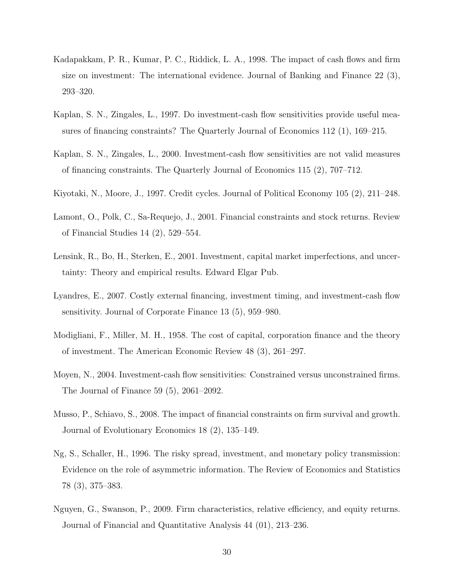- Kadapakkam, P. R., Kumar, P. C., Riddick, L. A., 1998. The impact of cash flows and firm size on investment: The international evidence. Journal of Banking and Finance 22 (3), 293–320.
- Kaplan, S. N., Zingales, L., 1997. Do investment-cash flow sensitivities provide useful measures of financing constraints? The Quarterly Journal of Economics 112 (1), 169–215.
- Kaplan, S. N., Zingales, L., 2000. Investment-cash flow sensitivities are not valid measures of financing constraints. The Quarterly Journal of Economics 115 (2), 707–712.
- Kiyotaki, N., Moore, J., 1997. Credit cycles. Journal of Political Economy 105 (2), 211–248.
- Lamont, O., Polk, C., Sa-Requejo, J., 2001. Financial constraints and stock returns. Review of Financial Studies 14 (2), 529–554.
- Lensink, R., Bo, H., Sterken, E., 2001. Investment, capital market imperfections, and uncertainty: Theory and empirical results. Edward Elgar Pub.
- Lyandres, E., 2007. Costly external financing, investment timing, and investment-cash flow sensitivity. Journal of Corporate Finance 13 (5), 959–980.
- Modigliani, F., Miller, M. H., 1958. The cost of capital, corporation finance and the theory of investment. The American Economic Review 48 (3), 261–297.
- Moyen, N., 2004. Investment-cash flow sensitivities: Constrained versus unconstrained firms. The Journal of Finance 59 (5), 2061–2092.
- Musso, P., Schiavo, S., 2008. The impact of financial constraints on firm survival and growth. Journal of Evolutionary Economics 18 (2), 135–149.
- Ng, S., Schaller, H., 1996. The risky spread, investment, and monetary policy transmission: Evidence on the role of asymmetric information. The Review of Economics and Statistics 78 (3), 375–383.
- Nguyen, G., Swanson, P., 2009. Firm characteristics, relative efficiency, and equity returns. Journal of Financial and Quantitative Analysis 44 (01), 213–236.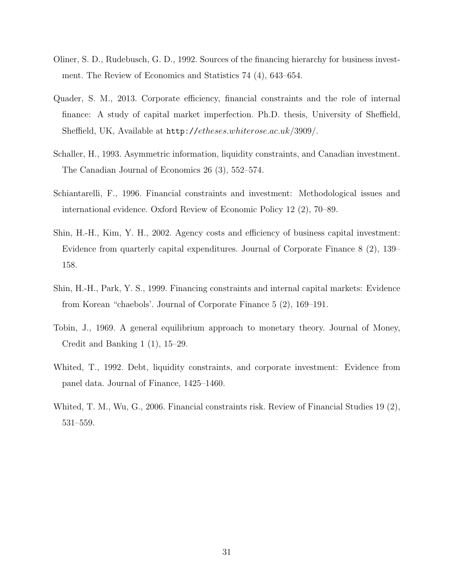- Oliner, S. D., Rudebusch, G. D., 1992. Sources of the financing hierarchy for business investment. The Review of Economics and Statistics 74 (4), 643–654.
- Quader, S. M., 2013. Corporate efficiency, financial constraints and the role of internal finance: A study of capital market imperfection. Ph.D. thesis, University of Sheffield, Sheffield, UK, Available at http://etheses.whiterose.ac.uk/3909/.
- Schaller, H., 1993. Asymmetric information, liquidity constraints, and Canadian investment. The Canadian Journal of Economics 26 (3), 552–574.
- Schiantarelli, F., 1996. Financial constraints and investment: Methodological issues and international evidence. Oxford Review of Economic Policy 12 (2), 70–89.
- Shin, H.-H., Kim, Y. H., 2002. Agency costs and efficiency of business capital investment: Evidence from quarterly capital expenditures. Journal of Corporate Finance 8 (2), 139– 158.
- Shin, H.-H., Park, Y. S., 1999. Financing constraints and internal capital markets: Evidence from Korean "chaebols'. Journal of Corporate Finance 5 (2), 169–191.
- Tobin, J., 1969. A general equilibrium approach to monetary theory. Journal of Money, Credit and Banking 1 (1), 15–29.
- Whited, T., 1992. Debt, liquidity constraints, and corporate investment: Evidence from panel data. Journal of Finance, 1425–1460.
- Whited, T. M., Wu, G., 2006. Financial constraints risk. Review of Financial Studies 19 (2), 531–559.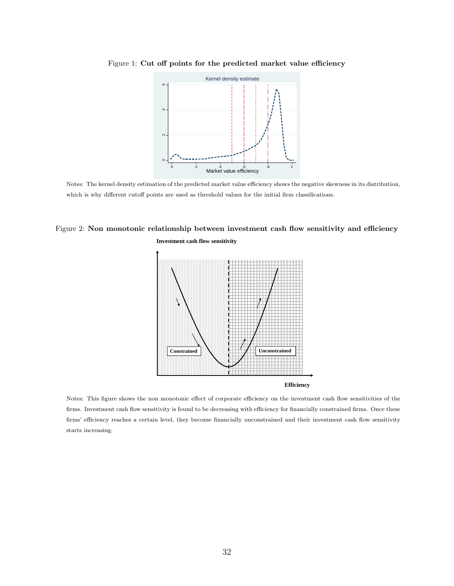

Figure 1: Cut off points for the predicted market value efficiency

Notes: The kernel density estimation of the predicted market value efficiency shows the negative skewness in its distribution, which is why different cutoff points are used as threshold values for the initial firm classifications.

### Figure 2: Non monotonic relationship between investment cash flow sensitivity and efficiency **Investment cash flow sensitivity**





Notes: This figure shows the non monotonic effect of corporate efficiency on the investment cash flow sensitivities of the firms. Investment cash flow sensitivity is found to be decreasing with efficiency for financially constrained firms. Once these firms' efficiency reaches a certain level, they become financially unconstrained and their investment cash flow sensitivity starts increasing.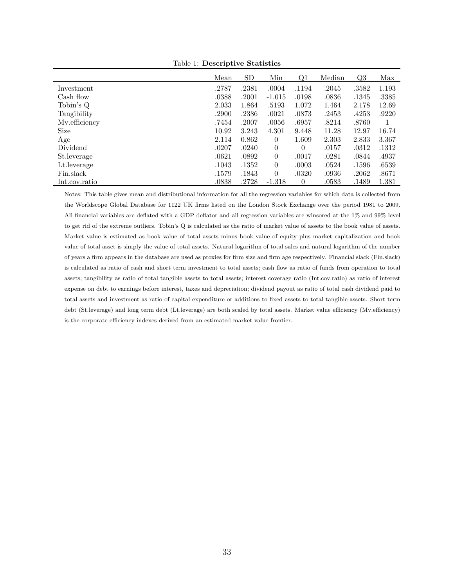|               | Mean  | <b>SD</b> | Min            | Q1       | Median | <u>Q3</u> | Max   |
|---------------|-------|-----------|----------------|----------|--------|-----------|-------|
| Investment    | .2787 | .2381     | .0004          | .1194    | .2045  | .3582     | 1.193 |
| Cash flow     | .0388 | .2001     | $-1.015$       | .0198    | .0836  | .1345     | .3385 |
| Tobin's Q     | 2.033 | 1.864     | .5193          | 1.072    | 1.464  | 2.178     | 12.69 |
| Tangibility   | .2900 | .2386     | .0021          | .0873    | .2453  | .4253     | .9220 |
| Mv.efficiency | .7454 | .2007     | .0056          | .6957    | .8214  | .8760     |       |
| <b>Size</b>   | 10.92 | 3.243     | 4.301          | 9.448    | 11.28  | 12.97     | 16.74 |
| Age           | 2.114 | 0.862     | $\overline{0}$ | 1.609    | 2.303  | 2.833     | 3.367 |
| Dividend      | .0207 | .0240     | $\theta$       | $\Omega$ | .0157  | .0312     | .1312 |
| St.leverage   | .0621 | .0892     | $\theta$       | .0017    | .0281  | .0844     | .4937 |
| Lt. leverage  | .1043 | .1352     | $\theta$       | .0003    | .0524  | .1596     | .6539 |
| Fin.slack     | .1579 | .1843     | $\overline{0}$ | .0320    | .0936  | .2062     | .8671 |
| Int.cov.ratio | .0838 | .2728     | $-1.318$       | $\theta$ | .0583  | .1489     | 1.381 |

Table 1: Descriptive Statistics

Notes: This table gives mean and distributional information for all the regression variables for which data is collected from the Worldscope Global Database for 1122 UK firms listed on the London Stock Exchange over the period 1981 to 2009. All financial variables are deflated with a GDP deflator and all regression variables are winsored at the 1% and 99% level to get rid of the extreme outliers. Tobin's Q is calculated as the ratio of market value of assets to the book value of assets. Market value is estimated as book value of total assets minus book value of equity plus market capitalization and book value of total asset is simply the value of total assets. Natural logarithm of total sales and natural logarithm of the number of years a firm appears in the database are used as proxies for firm size and firm age respectively. Financial slack (Fin.slack) is calculated as ratio of cash and short term investment to total assets; cash flow as ratio of funds from operation to total assets; tangibility as ratio of total tangible assets to total assets; interest coverage ratio (Int.cov.ratio) as ratio of interest expense on debt to earnings before interest, taxes and depreciation; dividend payout as ratio of total cash dividend paid to total assets and investment as ratio of capital expenditure or additions to fixed assets to total tangible assets. Short term debt (St.leverage) and long term debt (Lt.leverage) are both scaled by total assets. Market value efficiency (Mv.efficiency) is the corporate efficiency indexes derived from an estimated market value frontier.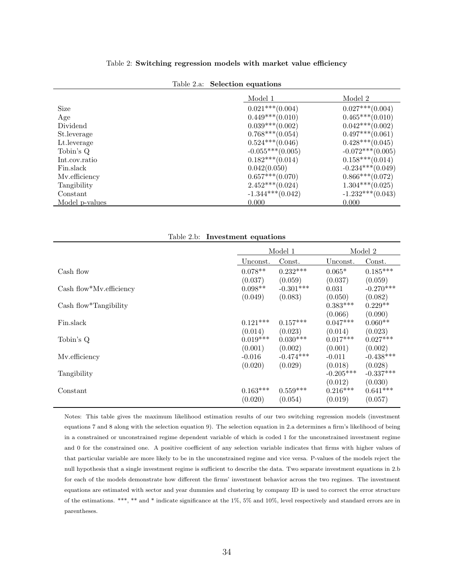|  | Table 2.a: Selection equations |  |
|--|--------------------------------|--|
|--|--------------------------------|--|

|                                 | $0.021***(0.004)$  |                    |
|---------------------------------|--------------------|--------------------|
| Size                            |                    | $0.027***(0.004)$  |
| Age                             | $0.449***(0.010)$  | $0.465***(0.010)$  |
| Dividend                        | $0.039***(0.002)$  | $0.042***(0.002)$  |
| St. leverage                    | $0.768***(0.054)$  | $0.497***(0.061)$  |
| Lt. leverage                    | $0.524***(0.046)$  | $0.428***(0.045)$  |
| Tobin's Q                       | $-0.055***(0.005)$ | $-0.072***(0.005)$ |
| Int.cov.ratio                   | $0.182***(0.014)$  | $0.158***(0.014)$  |
| Fin.slack                       | 0.042(0.050)       | $-0.234***(0.049)$ |
| Mv.efficiency                   | $0.657***(0.070)$  | $0.866***(0.072)$  |
| Tangibility                     | $2.452***(0.024)$  | $1.304***(0.025)$  |
| Constant                        | $-1.344***(0.042)$ | $-1.232***(0.043)$ |
| 0.000<br>Model <i>p</i> -values |                    | 0.000              |

Table 2.b: Investment equations

|                         | Model 1    |             |             | Model 2     |
|-------------------------|------------|-------------|-------------|-------------|
|                         | Unconst.   | Const.      | Unconst.    | Const.      |
| Cash flow               | $0.078**$  | $0.232***$  | $0.065*$    | $0.185***$  |
|                         | (0.037)    | (0.059)     | (0.037)     | (0.059)     |
| Cash flow*Mv.efficiency | $0.098**$  | $-0.301***$ | 0.031       | $-0.270***$ |
|                         | (0.049)    | (0.083)     | (0.050)     | (0.082)     |
| Cash flow*Tangibility   |            |             | $0.383***$  | $0.229**$   |
|                         |            |             | (0.066)     | (0.090)     |
| Fin.slack               | $0.121***$ | $0.157***$  | $0.047***$  | $0.060**$   |
|                         | (0.014)    | (0.023)     | (0.014)     | (0.023)     |
| Tobin's Q               | $0.019***$ | $0.030***$  | $0.017***$  | $0.027***$  |
|                         | (0.001)    | (0.002)     | (0.001)     | (0.002)     |
| Mv.efficiency           | $-0.016$   | $-0.474***$ | $-0.011$    | $-0.438***$ |
|                         | (0.020)    | (0.029)     | (0.018)     | (0.028)     |
| Tangibility             |            |             | $-0.205***$ | $-0.337***$ |
|                         |            |             | (0.012)     | (0.030)     |
| Constant                | $0.163***$ | $0.559***$  | $0.216***$  | $0.641***$  |
|                         | (0.020)    | (0.054)     | (0.019)     | (0.057)     |

Notes: This table gives the maximum likelihood estimation results of our two switching regression models (investment equations 7 and 8 along with the selection equation 9). The selection equation in 2.a determines a firm's likelihood of being in a constrained or unconstrained regime dependent variable of which is coded 1 for the unconstrained investment regime and 0 for the constrained one. A positive coefficient of any selection variable indicates that firms with higher values of that particular variable are more likely to be in the unconstrained regime and vice versa. P-values of the models reject the null hypothesis that a single investment regime is sufficient to describe the data. Two separate investment equations in 2.b for each of the models demonstrate how different the firms' investment behavior across the two regimes. The investment equations are estimated with sector and year dummies and clustering by company ID is used to correct the error structure of the estimations. \*\*\*, \*\* and \* indicate significance at the 1%, 5% and 10%, level respectively and standard errors are in parentheses.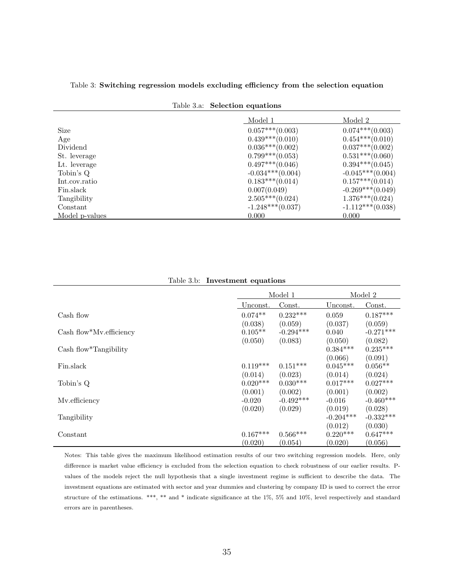|                | Table 3.a: Selection equations |                    |
|----------------|--------------------------------|--------------------|
|                | Model 1                        | Model 2            |
| <b>Size</b>    | $0.057***(0.003)$              | $0.074***(0.003)$  |
| Age            | $0.439***(0.010)$              | $0.454***(0.010)$  |
| Dividend       | $0.036***(0.002)$              | $0.037***(0.002)$  |
| St. leverage   | $0.799***(0.053)$              | $0.531***(0.060)$  |
| Lt. leverage   | $0.497***(0.046)$              | $0.394***(0.045)$  |
| Tobin's Q      | $-0.034***(0.004)$             | $-0.045***(0.004)$ |
| Int.cov.ratio  | $0.183***(0.014)$              | $0.157***(0.014)$  |
| Fin.slack      | 0.007(0.049)                   | $-0.269***(0.049)$ |
| Tangibility    | $2.505***(0.024)$              | $1.376***(0.024)$  |
| Constant       | $-1.248***(0.037)$             | $-1.112***(0.038)$ |
| Model p-values | 0.000                          | 0.000              |

Table 3: Switching regression models excluding efficiency from the selection equation

| <b>rapic g.p.</b>       | mvestment equations |             |             |             |
|-------------------------|---------------------|-------------|-------------|-------------|
|                         |                     | Model 1     |             | Model 2     |
|                         | Unconst.            | Const.      | Unconst.    | Const.      |
| Cash flow               | $0.074**$           | $0.232***$  | 0.059       | $0.187***$  |
|                         | (0.038)             | (0.059)     | (0.037)     | (0.059)     |
| Cash flow*My.efficiency | $0.105**$           | $-0.294***$ | 0.040       | $-0.271***$ |
|                         | (0.050)             | (0.083)     | (0.050)     | (0.082)     |
| $Cash flow*Tangibility$ |                     |             | $0.384***$  | $0.235***$  |
|                         |                     |             | (0.066)     | (0.091)     |
| Fin.slack               | $0.119***$          | $0.151***$  | $0.045***$  | $0.056**$   |
|                         | (0.014)             | (0.023)     | (0.014)     | (0.024)     |
| Tobin's Q               | $0.020***$          | $0.030***$  | $0.017***$  | $0.027***$  |
|                         | (0.001)             | (0.002)     | (0.001)     | (0.002)     |
| Mv.efficiency           | $-0.020$            | $-0.492***$ | $-0.016$    | $-0.460***$ |
|                         | (0.020)             | (0.029)     | (0.019)     | (0.028)     |
| Tangibility             |                     |             | $-0.204***$ | $-0.332***$ |
|                         |                     |             | (0.012)     | (0.030)     |

Table 3.b: Investment equations

Notes: This table gives the maximum likelihood estimation results of our two switching regression models. Here, only difference is market value efficiency is excluded from the selection equation to check robustness of our earlier results. Pvalues of the models reject the null hypothesis that a single investment regime is sufficient to describe the data. The investment equations are estimated with sector and year dummies and clustering by company ID is used to correct the error structure of the estimations. \*\*\*, \*\* and \* indicate significance at the 1%, 5% and 10%, level respectively and standard errors are in parentheses.

Constant  $0.167***$   $0.566***$   $0.220***$   $0.647***$ 

 $(0.020)$   $(0.054)$   $(0.020)$   $(0.056)$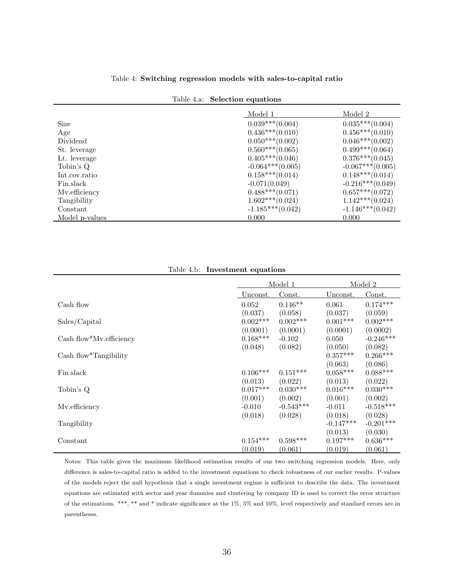#### Table 4: Switching regression models with sales-to-capital ratio

|  | Table 4.a: Selection equations |
|--|--------------------------------|
|  |                                |

|                | Model 1            | Model 2            |
|----------------|--------------------|--------------------|
| Size           | $0.039***(0.004)$  | $0.035***(0.004)$  |
| Age            | $0.436***(0.010)$  | $0.456***(0.010)$  |
| Dividend       | $0.050***(0.002)$  | $0.046***(0.002)$  |
| St. leverage   | $0.560***(0.065)$  | $0.499***(0.064)$  |
| Lt. leverage   | $0.405***(0.046)$  | $0.376***(0.045)$  |
| Tobin's Q      | $-0.064***(0.005)$ | $-0.067***(0.005)$ |
| Int.cov.ratio  | $0.158***(0.014)$  | $0.148***(0.014)$  |
| Fin.slack      | $-0.071(0.049)$    | $-0.216***(0.049)$ |
| Mv.efficiency  | $0.488***(0.071)$  | $0.657***(0.072)$  |
| Tangibility    | $1.602***(0.024)$  | $1.142***(0.024)$  |
| Constant       | $-1.185***(0.042)$ | $-1.146***(0.042)$ |
| Model p-values | 0.000              | 0.000              |

| Table 4.b:              | Investment equations             |                                  |                                  |                                  |
|-------------------------|----------------------------------|----------------------------------|----------------------------------|----------------------------------|
|                         | Model 1                          |                                  |                                  | Model 2                          |
|                         | Unconst.                         | Const.                           | Unconst.                         | Const.                           |
| Cash flow               | 0.052<br>(0.037)                 | $0.146**$<br>(0.058)             | 0.061<br>(0.037)                 | $0.174***$<br>(0.059)            |
| Sales/Capital           | $0.002***$<br>(0.0001)           | $0.002***$<br>(0.0001)           | $0.001***$<br>(0.0001)           | $0.002***$<br>(0.0002)           |
| Cash flow*Mv.efficiency | $0.168***$                       | $-0.102$                         | 0.050                            | $-0.246***$                      |
| Cash flow*Tangibility   | (0.048)                          | (0.082)                          | (0.050)<br>$0.357***$<br>(0.063) | (0.082)<br>$0.266***$<br>(0.086) |
| Fin.slack               | $0.106***$                       | $0.151***$                       | $0.058***$                       | $0.088***$                       |
| Tobin's Q               | (0.013)<br>$0.017***$<br>(0.001) | (0.022)<br>$0.030***$<br>(0.002) | (0.013)<br>$0.016***$<br>(0.001) | (0.022)<br>$0.030***$<br>(0.002) |
| Mv.efficiency           | $-0.010$<br>(0.018)              | $-0.543***$<br>(0.028)           | $-0.011$<br>(0.018)              | $-0.518***$<br>(0.028)           |
| Tangibility             |                                  |                                  | $-0.147***$                      | $-0.201***$                      |
| Constant                | $0.154***$<br>(0.019)            | $0.598***$<br>(0.061)            | (0.013)<br>$0.197***$<br>(0.019) | (0.030)<br>$0.636***$<br>(0.061) |

Notes: This table gives the maximum likelihood estimation results of our two switching regression models. Here, only difference is sales-to-capital ratio is added to the investment equations to check robustness of our earlier results. P-values of the models reject the null hypothesis that a single investment regime is sufficient to describe the data. The investment equations are estimated with sector and year dummies and clustering by company ID is used to correct the error structure of the estimations. \*\*\*, \*\* and \* indicate significance at the 1%, 5% and 10%, level respectively and standard errors are in parentheses.

Table 4.b: Investment equations

Ē,